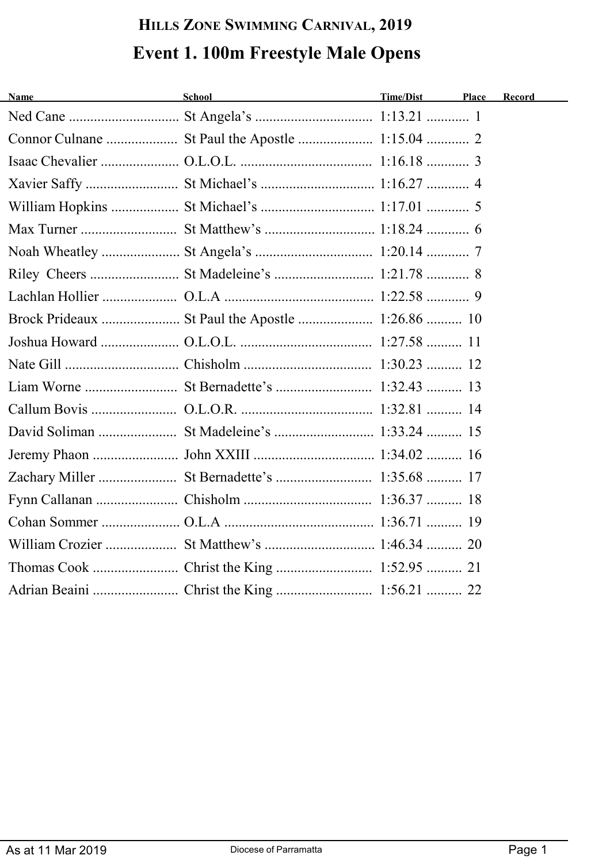# **HILLS ZONE SWIMMING CARNIVAL, 2019 Event 1. 100m Freestyle Male Opens**

| <b>Name</b> | School<br><u> 1989 - Johann Barn, fransk politik (</u> | Time/Dist | Place | Record |
|-------------|--------------------------------------------------------|-----------|-------|--------|
|             |                                                        |           |       |        |
|             |                                                        |           |       |        |
|             |                                                        |           |       |        |
|             |                                                        |           |       |        |
|             |                                                        |           |       |        |
|             |                                                        |           |       |        |
|             |                                                        |           |       |        |
|             |                                                        |           |       |        |
|             |                                                        |           |       |        |
|             |                                                        |           |       |        |
|             |                                                        |           |       |        |
|             |                                                        |           |       |        |
|             |                                                        |           |       |        |
|             |                                                        |           |       |        |
|             |                                                        |           |       |        |
|             |                                                        |           |       |        |
|             |                                                        |           |       |        |
|             |                                                        |           |       |        |
|             |                                                        |           |       |        |
|             |                                                        |           |       |        |
|             |                                                        |           |       |        |
|             |                                                        |           |       |        |
|             |                                                        |           |       |        |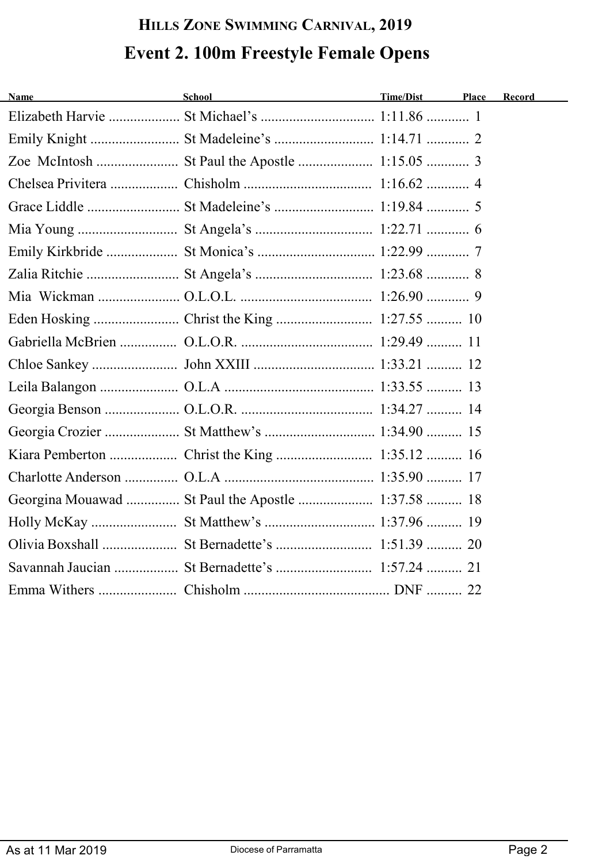# **HILLS ZONE SWIMMING CARNIVAL, 2019 Event 2. 100m Freestyle Female Opens**

| <b>Name</b> | School and the state of the state of the state of the state of the state of the state of the state of the state of the state of the state of the state of the state of the state of the state of the state of the state of the | Time/Dist | <b>Place</b> | Record |
|-------------|--------------------------------------------------------------------------------------------------------------------------------------------------------------------------------------------------------------------------------|-----------|--------------|--------|
|             |                                                                                                                                                                                                                                |           |              |        |
|             |                                                                                                                                                                                                                                |           |              |        |
|             |                                                                                                                                                                                                                                |           |              |        |
|             |                                                                                                                                                                                                                                |           |              |        |
|             |                                                                                                                                                                                                                                |           |              |        |
|             |                                                                                                                                                                                                                                |           |              |        |
|             |                                                                                                                                                                                                                                |           |              |        |
|             |                                                                                                                                                                                                                                |           |              |        |
|             |                                                                                                                                                                                                                                |           |              |        |
|             |                                                                                                                                                                                                                                |           |              |        |
|             |                                                                                                                                                                                                                                |           |              |        |
|             |                                                                                                                                                                                                                                |           |              |        |
|             |                                                                                                                                                                                                                                |           |              |        |
|             |                                                                                                                                                                                                                                |           |              |        |
|             |                                                                                                                                                                                                                                |           |              |        |
|             |                                                                                                                                                                                                                                |           |              |        |
|             |                                                                                                                                                                                                                                |           |              |        |
|             | Georgina Mouawad  St Paul the Apostle  1:37.58  18                                                                                                                                                                             |           |              |        |
|             |                                                                                                                                                                                                                                |           |              |        |
|             |                                                                                                                                                                                                                                |           |              |        |
|             |                                                                                                                                                                                                                                |           |              |        |
|             |                                                                                                                                                                                                                                |           |              |        |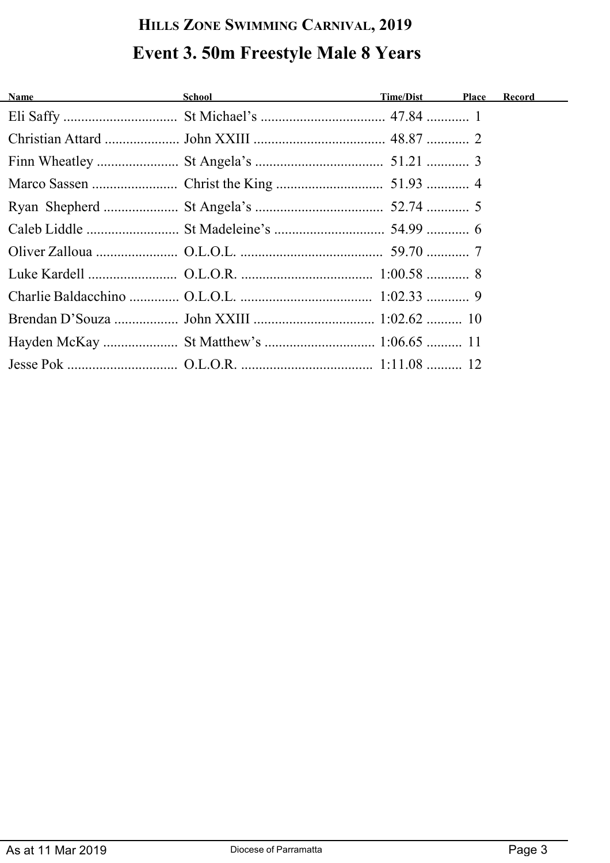# **HILLS ZONE SWIMMING CARNIVAL, 2019 Event 3. 50m Freestyle Male 8 Years**

| Name and the state of the state of the state of the state of the state of the state of the state of the state of the state of the state of the state of the state of the state of the state of the state of the state of the s | School and the state of the state of the state of the state of the state of the state of the state of the state of the state of the state of the state of the state of the state of the state of the state of the state of the | Time/Dist Place | <b>Record</b> |
|--------------------------------------------------------------------------------------------------------------------------------------------------------------------------------------------------------------------------------|--------------------------------------------------------------------------------------------------------------------------------------------------------------------------------------------------------------------------------|-----------------|---------------|
|                                                                                                                                                                                                                                |                                                                                                                                                                                                                                |                 |               |
|                                                                                                                                                                                                                                |                                                                                                                                                                                                                                |                 |               |
|                                                                                                                                                                                                                                |                                                                                                                                                                                                                                |                 |               |
|                                                                                                                                                                                                                                |                                                                                                                                                                                                                                |                 |               |
|                                                                                                                                                                                                                                |                                                                                                                                                                                                                                |                 |               |
|                                                                                                                                                                                                                                |                                                                                                                                                                                                                                |                 |               |
|                                                                                                                                                                                                                                |                                                                                                                                                                                                                                |                 |               |
|                                                                                                                                                                                                                                |                                                                                                                                                                                                                                |                 |               |
|                                                                                                                                                                                                                                |                                                                                                                                                                                                                                |                 |               |
|                                                                                                                                                                                                                                |                                                                                                                                                                                                                                |                 |               |
|                                                                                                                                                                                                                                | Hayden McKay  St Matthew's  1:06.65  11                                                                                                                                                                                        |                 |               |
|                                                                                                                                                                                                                                |                                                                                                                                                                                                                                |                 |               |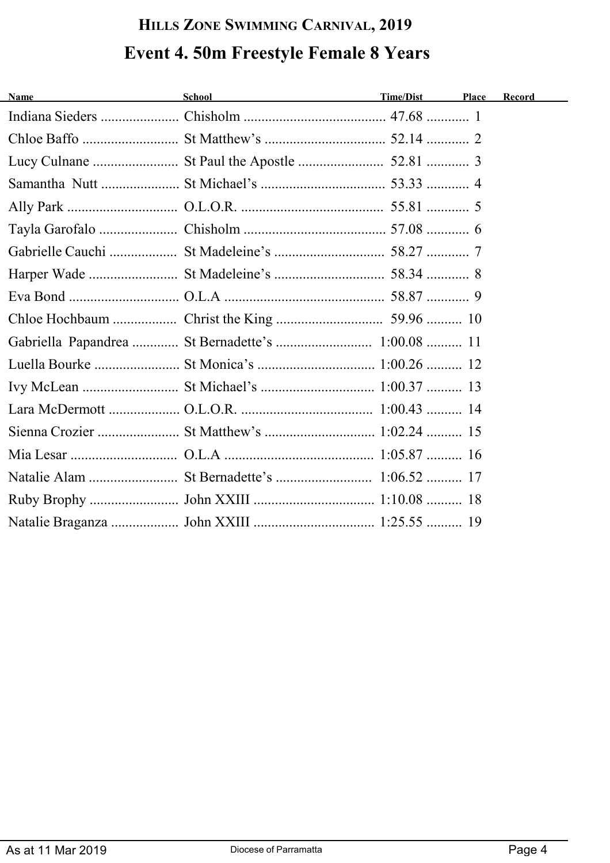# **HILLS ZONE SWIMMING CARNIVAL, 2019 Event 4. 50m Freestyle Female 8 Years**

| <b>Name</b> | School and the second second second second second second second second second second second second second second second second second second second second second second second second second second second second second seco | Time/Dist | <b>Place</b> | Record |
|-------------|--------------------------------------------------------------------------------------------------------------------------------------------------------------------------------------------------------------------------------|-----------|--------------|--------|
|             |                                                                                                                                                                                                                                |           |              |        |
|             |                                                                                                                                                                                                                                |           |              |        |
|             |                                                                                                                                                                                                                                |           |              |        |
|             |                                                                                                                                                                                                                                |           |              |        |
|             |                                                                                                                                                                                                                                |           |              |        |
|             |                                                                                                                                                                                                                                |           |              |        |
|             |                                                                                                                                                                                                                                |           |              |        |
|             |                                                                                                                                                                                                                                |           |              |        |
|             |                                                                                                                                                                                                                                |           |              |        |
|             |                                                                                                                                                                                                                                |           |              |        |
|             | Gabriella Papandrea  St Bernadette's  1:00.08  11                                                                                                                                                                              |           |              |        |
|             |                                                                                                                                                                                                                                |           |              |        |
|             |                                                                                                                                                                                                                                |           |              |        |
|             |                                                                                                                                                                                                                                |           |              |        |
|             |                                                                                                                                                                                                                                |           |              |        |
|             |                                                                                                                                                                                                                                |           |              |        |
|             |                                                                                                                                                                                                                                |           |              |        |
|             |                                                                                                                                                                                                                                |           |              |        |
|             |                                                                                                                                                                                                                                |           |              |        |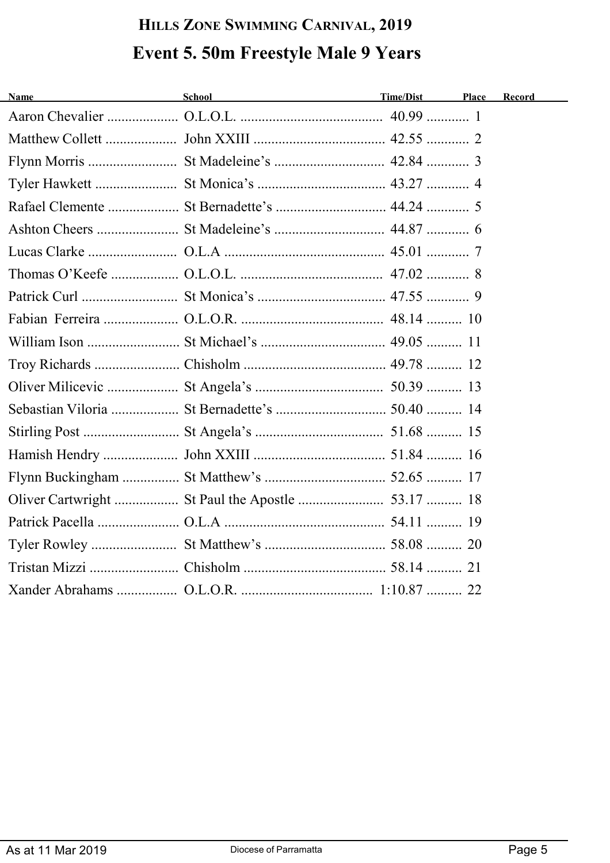# **HILLS ZONE SWIMMING CARNIVAL, 2019 Event 5. 50m Freestyle Male 9 Years**

| <b>Name</b> | School<br><u> 1989 - Johann Stoff, fransk politik (d. 1989)</u> | Time/Dist | Place | Record |
|-------------|-----------------------------------------------------------------|-----------|-------|--------|
|             |                                                                 |           |       |        |
|             |                                                                 |           |       |        |
|             |                                                                 |           |       |        |
|             |                                                                 |           |       |        |
|             |                                                                 |           |       |        |
|             |                                                                 |           |       |        |
|             |                                                                 |           |       |        |
|             |                                                                 |           |       |        |
|             |                                                                 |           |       |        |
|             |                                                                 |           |       |        |
|             |                                                                 |           |       |        |
|             |                                                                 |           |       |        |
|             |                                                                 |           |       |        |
|             |                                                                 |           |       |        |
|             |                                                                 |           |       |        |
|             |                                                                 |           |       |        |
|             |                                                                 |           |       |        |
|             |                                                                 |           |       |        |
|             |                                                                 |           |       |        |
|             |                                                                 |           |       |        |
|             |                                                                 |           |       |        |
|             |                                                                 |           |       |        |
|             |                                                                 |           |       |        |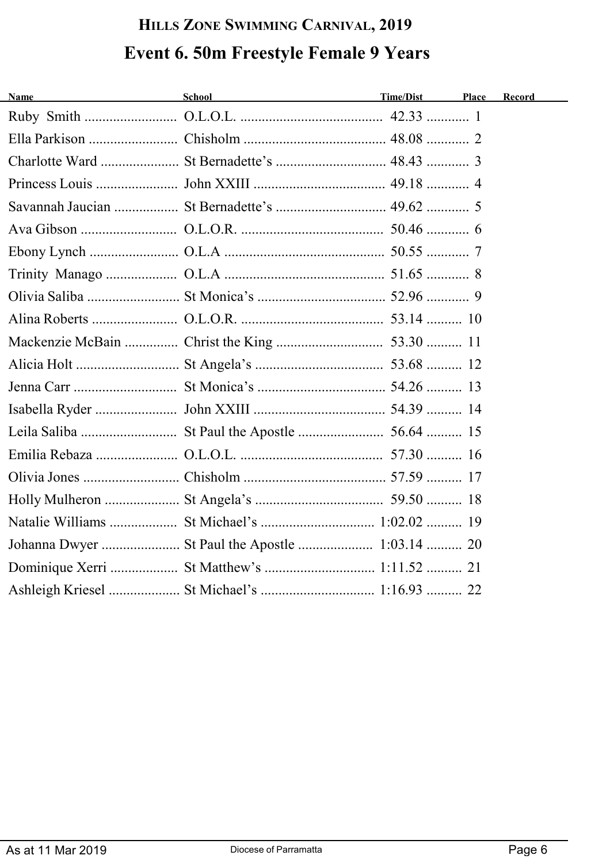# **HILLS ZONE SWIMMING CARNIVAL, 2019 Event 6. 50m Freestyle Female 9 Years**

| Ashleigh Kriesel  St Michael's  1:16.93  22 |  |
|---------------------------------------------|--|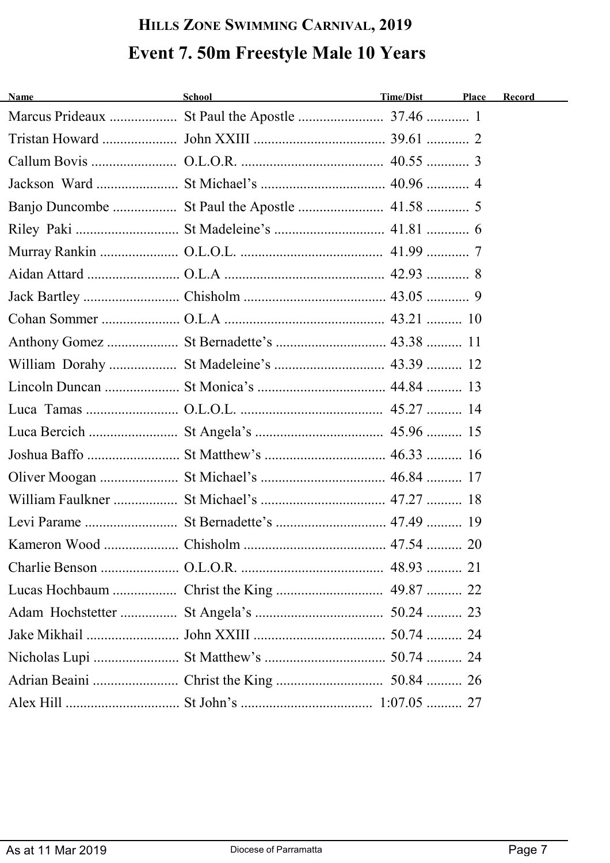# **HILLS ZONE SWIMMING CARNIVAL, 2019 Event 7. 50m Freestyle Male 10 Years**

| <b>Name</b><br><u> 1980 - Johann Barbara, martxa a</u> | <b>School</b> | Time/Dist | Place | Record |
|--------------------------------------------------------|---------------|-----------|-------|--------|
|                                                        |               |           |       |        |
|                                                        |               |           |       |        |
|                                                        |               |           |       |        |
|                                                        |               |           |       |        |
|                                                        |               |           |       |        |
|                                                        |               |           |       |        |
|                                                        |               |           |       |        |
|                                                        |               |           |       |        |
|                                                        |               |           |       |        |
|                                                        |               |           |       |        |
|                                                        |               |           |       |        |
|                                                        |               |           |       |        |
|                                                        |               |           |       |        |
|                                                        |               |           |       |        |
|                                                        |               |           |       |        |
|                                                        |               |           |       |        |
|                                                        |               |           |       |        |
|                                                        |               |           |       |        |
|                                                        |               |           |       |        |
|                                                        |               |           |       |        |
|                                                        |               |           |       |        |
|                                                        |               |           |       |        |
|                                                        |               |           |       |        |
|                                                        |               |           |       |        |
|                                                        |               |           |       |        |
|                                                        |               |           |       |        |
|                                                        |               |           |       |        |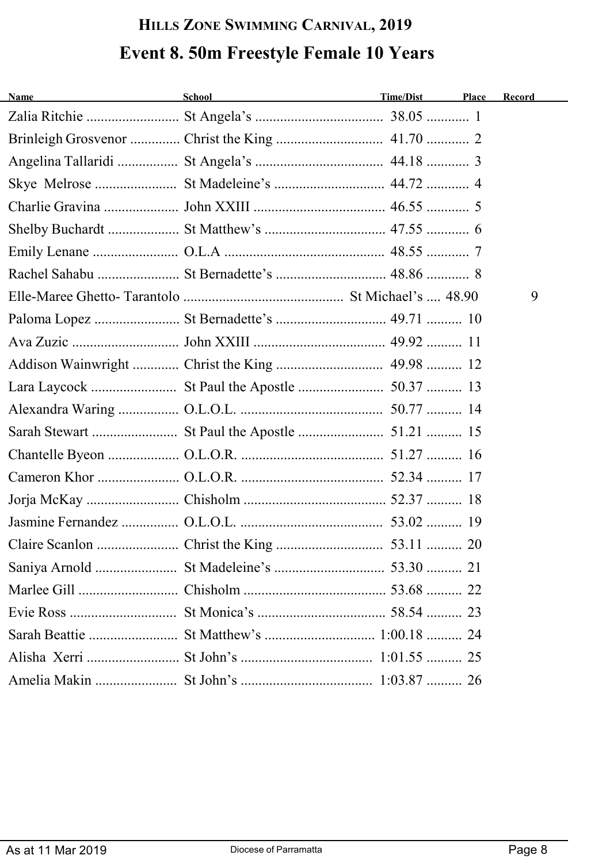# **HILLS ZONE SWIMMING CARNIVAL, 2019 Event 8. 50m Freestyle Female 10 Years**

| <b>Name</b><br><u> 1989 - Johann Barbara, martxa a</u> | School and the second second second second second second second second second second second second second second second second second second second second second second second second second second second second second seco | Time/Dist | Place | Record |
|--------------------------------------------------------|--------------------------------------------------------------------------------------------------------------------------------------------------------------------------------------------------------------------------------|-----------|-------|--------|
|                                                        |                                                                                                                                                                                                                                |           |       |        |
|                                                        |                                                                                                                                                                                                                                |           |       |        |
|                                                        |                                                                                                                                                                                                                                |           |       |        |
|                                                        |                                                                                                                                                                                                                                |           |       |        |
|                                                        |                                                                                                                                                                                                                                |           |       |        |
|                                                        |                                                                                                                                                                                                                                |           |       |        |
|                                                        |                                                                                                                                                                                                                                |           |       |        |
|                                                        |                                                                                                                                                                                                                                |           |       |        |
|                                                        |                                                                                                                                                                                                                                |           |       | 9      |
|                                                        |                                                                                                                                                                                                                                |           |       |        |
|                                                        |                                                                                                                                                                                                                                |           |       |        |
|                                                        |                                                                                                                                                                                                                                |           |       |        |
|                                                        |                                                                                                                                                                                                                                |           |       |        |
|                                                        |                                                                                                                                                                                                                                |           |       |        |
|                                                        |                                                                                                                                                                                                                                |           |       |        |
|                                                        |                                                                                                                                                                                                                                |           |       |        |
|                                                        |                                                                                                                                                                                                                                |           |       |        |
|                                                        |                                                                                                                                                                                                                                |           |       |        |
|                                                        |                                                                                                                                                                                                                                |           |       |        |
|                                                        |                                                                                                                                                                                                                                |           |       |        |
|                                                        |                                                                                                                                                                                                                                |           |       |        |
|                                                        |                                                                                                                                                                                                                                |           |       |        |
|                                                        |                                                                                                                                                                                                                                |           |       |        |
|                                                        |                                                                                                                                                                                                                                |           |       |        |
|                                                        |                                                                                                                                                                                                                                |           |       |        |
|                                                        |                                                                                                                                                                                                                                |           |       |        |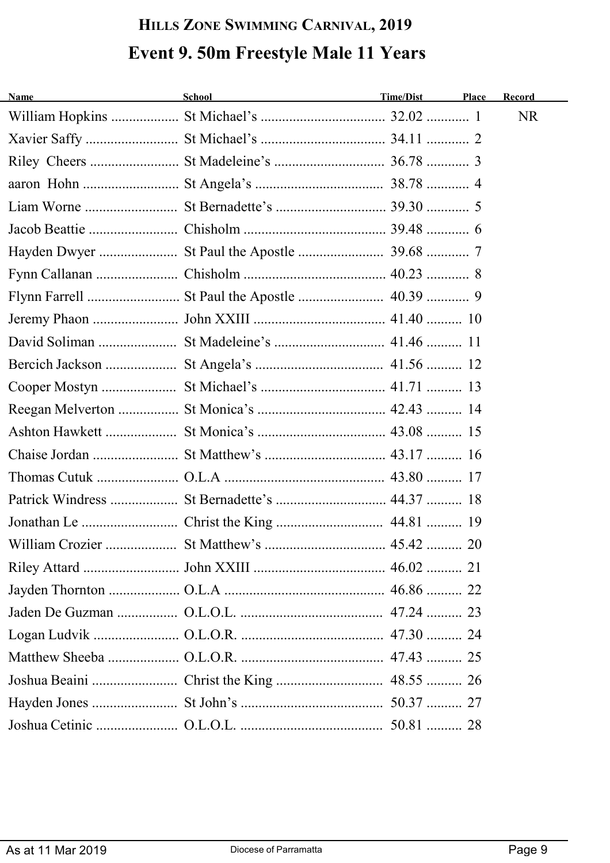# **HILLS ZONE SWIMMING CARNIVAL, 2019 Event 9. 50m Freestyle Male 11 Years**

| <b>Name</b> | School and the state of the state of the state of the state of the state of the state of the state of the state of the state of the state of the state of the state of the state of the state of the state of the state of the | Time/Dist | Place | Record |
|-------------|--------------------------------------------------------------------------------------------------------------------------------------------------------------------------------------------------------------------------------|-----------|-------|--------|
|             |                                                                                                                                                                                                                                |           |       | NR.    |
|             |                                                                                                                                                                                                                                |           |       |        |
|             |                                                                                                                                                                                                                                |           |       |        |
|             |                                                                                                                                                                                                                                |           |       |        |
|             |                                                                                                                                                                                                                                |           |       |        |
|             |                                                                                                                                                                                                                                |           |       |        |
|             |                                                                                                                                                                                                                                |           |       |        |
|             |                                                                                                                                                                                                                                |           |       |        |
|             |                                                                                                                                                                                                                                |           |       |        |
|             |                                                                                                                                                                                                                                |           |       |        |
|             |                                                                                                                                                                                                                                |           |       |        |
|             |                                                                                                                                                                                                                                |           |       |        |
|             |                                                                                                                                                                                                                                |           |       |        |
|             |                                                                                                                                                                                                                                |           |       |        |
|             |                                                                                                                                                                                                                                |           |       |        |
|             |                                                                                                                                                                                                                                |           |       |        |
|             |                                                                                                                                                                                                                                |           |       |        |
|             |                                                                                                                                                                                                                                |           |       |        |
|             |                                                                                                                                                                                                                                |           |       |        |
|             |                                                                                                                                                                                                                                |           | 20    |        |
|             |                                                                                                                                                                                                                                |           |       |        |
|             |                                                                                                                                                                                                                                |           |       |        |
|             |                                                                                                                                                                                                                                |           |       |        |
|             |                                                                                                                                                                                                                                |           |       |        |
|             |                                                                                                                                                                                                                                |           |       |        |
|             |                                                                                                                                                                                                                                |           |       |        |
|             |                                                                                                                                                                                                                                |           |       |        |
|             |                                                                                                                                                                                                                                |           |       |        |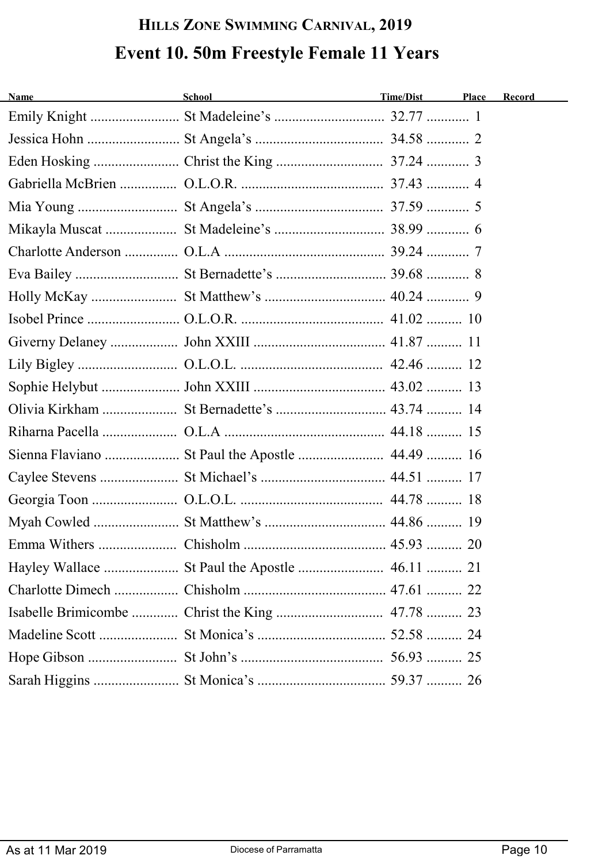# **HILLS ZONE SWIMMING CARNIVAL, 2019 Event 10. 50m Freestyle Female 11 Years**

| School and the state of the state of the state of the state of the state of the state of the state of the state of the state of the state of the state of the state of the state of the state of the state of the state of the | Place     | Record |
|--------------------------------------------------------------------------------------------------------------------------------------------------------------------------------------------------------------------------------|-----------|--------|
|                                                                                                                                                                                                                                |           |        |
|                                                                                                                                                                                                                                |           |        |
|                                                                                                                                                                                                                                |           |        |
|                                                                                                                                                                                                                                |           |        |
|                                                                                                                                                                                                                                |           |        |
|                                                                                                                                                                                                                                |           |        |
|                                                                                                                                                                                                                                |           |        |
|                                                                                                                                                                                                                                |           |        |
|                                                                                                                                                                                                                                |           |        |
|                                                                                                                                                                                                                                |           |        |
|                                                                                                                                                                                                                                |           |        |
|                                                                                                                                                                                                                                |           |        |
|                                                                                                                                                                                                                                |           |        |
|                                                                                                                                                                                                                                |           |        |
|                                                                                                                                                                                                                                |           |        |
|                                                                                                                                                                                                                                |           |        |
|                                                                                                                                                                                                                                |           |        |
|                                                                                                                                                                                                                                |           |        |
|                                                                                                                                                                                                                                |           |        |
|                                                                                                                                                                                                                                |           |        |
|                                                                                                                                                                                                                                |           |        |
|                                                                                                                                                                                                                                |           |        |
|                                                                                                                                                                                                                                |           |        |
|                                                                                                                                                                                                                                |           |        |
|                                                                                                                                                                                                                                |           |        |
|                                                                                                                                                                                                                                |           |        |
|                                                                                                                                                                                                                                | Time/Dist |        |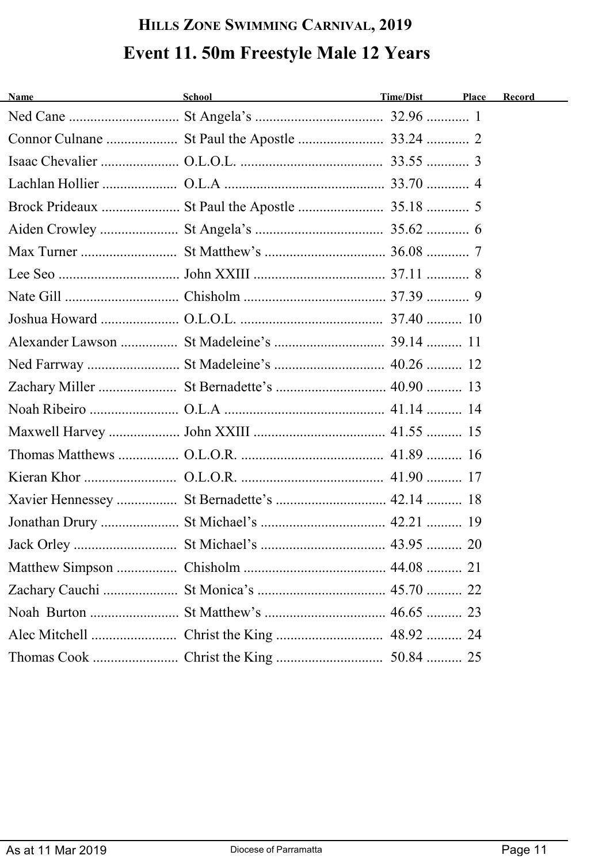# **HILLS ZONE SWIMMING CARNIVAL, 2019 Event 11. 50m Freestyle Male 12 Years**

| <b>Name</b><br><u> 1989 - Johann Barbara, martxa a</u> | School <u>contract the contract of the contract of the contract of the contract of the contract of the contract of the contract of the contract of the contract of the contract of the contract of the contract of the contract </u> | Time/Dist | Place | Record |
|--------------------------------------------------------|--------------------------------------------------------------------------------------------------------------------------------------------------------------------------------------------------------------------------------------|-----------|-------|--------|
|                                                        |                                                                                                                                                                                                                                      |           |       |        |
|                                                        |                                                                                                                                                                                                                                      |           |       |        |
|                                                        |                                                                                                                                                                                                                                      |           |       |        |
|                                                        |                                                                                                                                                                                                                                      |           |       |        |
|                                                        |                                                                                                                                                                                                                                      |           |       |        |
|                                                        |                                                                                                                                                                                                                                      |           |       |        |
|                                                        |                                                                                                                                                                                                                                      |           |       |        |
|                                                        |                                                                                                                                                                                                                                      |           |       |        |
|                                                        |                                                                                                                                                                                                                                      |           |       |        |
|                                                        |                                                                                                                                                                                                                                      |           |       |        |
|                                                        |                                                                                                                                                                                                                                      |           |       |        |
|                                                        | Ned Farrway  St Madeleine's  40.26  12                                                                                                                                                                                               |           |       |        |
|                                                        |                                                                                                                                                                                                                                      |           |       |        |
|                                                        |                                                                                                                                                                                                                                      |           |       |        |
|                                                        |                                                                                                                                                                                                                                      |           |       |        |
|                                                        |                                                                                                                                                                                                                                      |           |       |        |
|                                                        |                                                                                                                                                                                                                                      |           |       |        |
|                                                        |                                                                                                                                                                                                                                      |           |       |        |
|                                                        |                                                                                                                                                                                                                                      |           |       |        |
|                                                        |                                                                                                                                                                                                                                      |           |       |        |
|                                                        |                                                                                                                                                                                                                                      |           |       |        |
|                                                        |                                                                                                                                                                                                                                      |           |       |        |
|                                                        |                                                                                                                                                                                                                                      |           |       |        |
|                                                        |                                                                                                                                                                                                                                      |           |       |        |
|                                                        |                                                                                                                                                                                                                                      |           |       |        |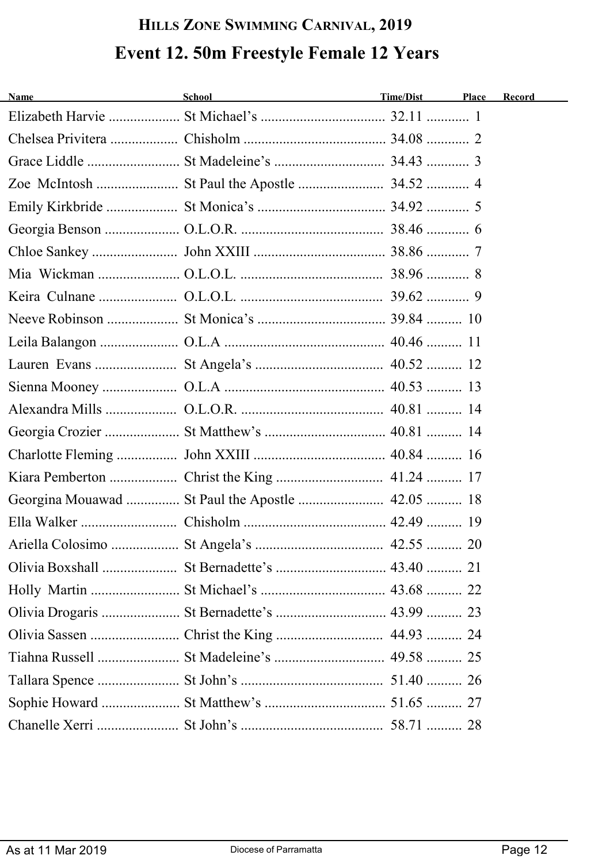# **HILLS ZONE SWIMMING CARNIVAL, 2019 Event 12. 50m Freestyle Female 12 Years**

| <b>Name</b><br><u> 1980 - Johann Barbara, martxa a</u> | School <b>Example 2018</b> | Time/Dist | Place | Record |
|--------------------------------------------------------|----------------------------|-----------|-------|--------|
|                                                        |                            |           |       |        |
|                                                        |                            |           |       |        |
|                                                        |                            |           |       |        |
|                                                        |                            |           |       |        |
|                                                        |                            |           |       |        |
|                                                        |                            |           |       |        |
|                                                        |                            |           |       |        |
|                                                        |                            |           |       |        |
|                                                        |                            |           |       |        |
|                                                        |                            |           |       |        |
|                                                        |                            |           |       |        |
|                                                        |                            |           |       |        |
|                                                        |                            |           |       |        |
|                                                        |                            |           |       |        |
|                                                        |                            |           |       |        |
|                                                        |                            |           |       |        |
|                                                        |                            |           |       |        |
| Georgina Mouawad  St Paul the Apostle  42.05  18       |                            |           |       |        |
|                                                        |                            |           |       |        |
|                                                        |                            |           |       |        |
|                                                        |                            |           |       |        |
|                                                        |                            |           |       |        |
|                                                        |                            |           |       |        |
|                                                        |                            |           |       |        |
|                                                        |                            |           |       |        |
|                                                        |                            |           |       |        |
|                                                        |                            |           |       |        |
|                                                        |                            |           |       |        |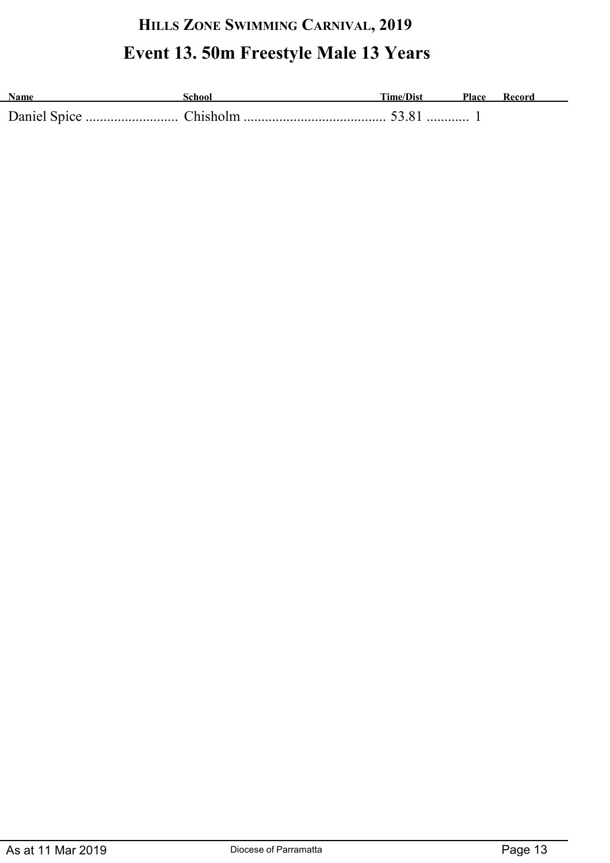# **HILLS ZONE SWIMMING CARNIVAL, 2019 Event 13. 50m Freestyle Male 13 Years**

| <b>Name</b> | \chool | <b>Time/Dist</b> | Place |  |
|-------------|--------|------------------|-------|--|
|             |        |                  |       |  |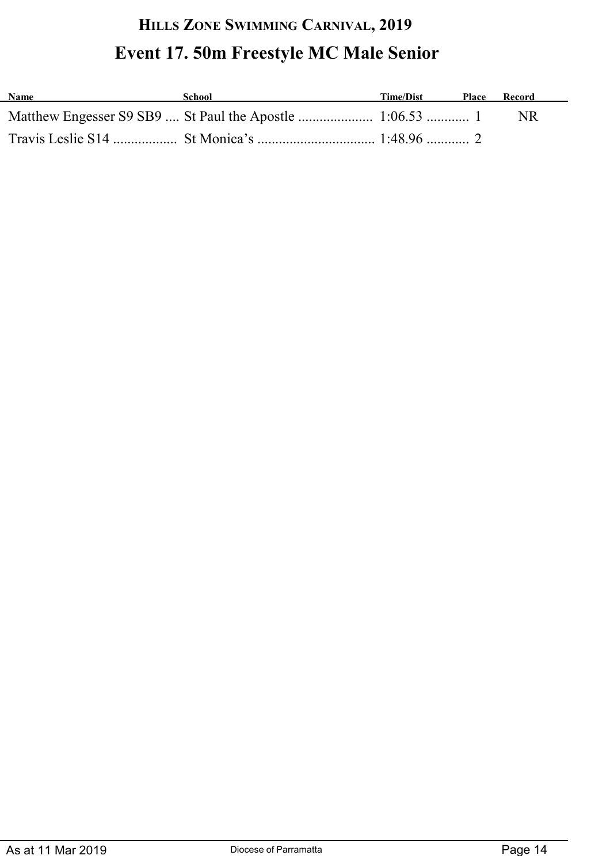# **HILLS ZONE SWIMMING CARNIVAL, 2019 Event 17. 50m Freestyle MC Male Senior**

| <b>Name</b> | School | Time/Dist | Place Record |
|-------------|--------|-----------|--------------|
|             |        |           | NR.          |
|             |        |           |              |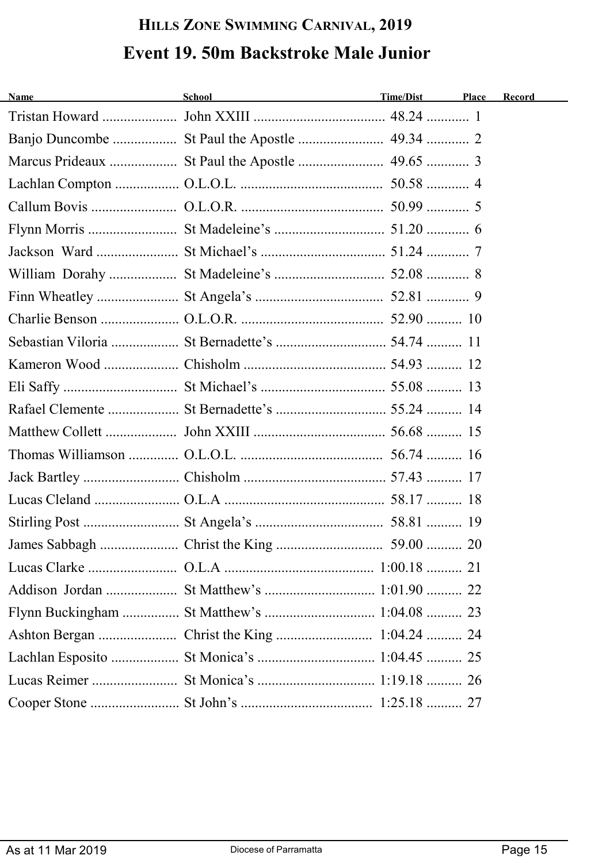### **HILLS ZONE SWIMMING CARNIVAL, 2019 Event 19. 50m Backstroke Male Junior**

| <b>Name</b> | School<br><u> 1989 - Johann Stoff, fransk politik (d. 1989)</u> | Time/Dist | Place | Record |
|-------------|-----------------------------------------------------------------|-----------|-------|--------|
|             |                                                                 |           |       |        |
|             |                                                                 |           |       |        |
|             |                                                                 |           |       |        |
|             |                                                                 |           |       |        |
|             |                                                                 |           |       |        |
|             |                                                                 |           |       |        |
|             |                                                                 |           |       |        |
|             |                                                                 |           |       |        |
|             |                                                                 |           |       |        |
|             |                                                                 |           |       |        |
|             |                                                                 |           |       |        |
|             |                                                                 |           |       |        |
|             |                                                                 |           |       |        |
|             |                                                                 |           |       |        |
|             |                                                                 |           |       |        |
|             |                                                                 |           |       |        |
|             |                                                                 |           |       |        |
|             |                                                                 |           |       |        |
|             |                                                                 |           |       |        |
|             |                                                                 |           |       |        |
|             |                                                                 |           |       |        |
|             |                                                                 |           |       |        |
|             |                                                                 |           |       |        |
|             |                                                                 |           |       |        |
|             |                                                                 |           |       |        |
|             |                                                                 |           |       |        |
|             |                                                                 |           |       |        |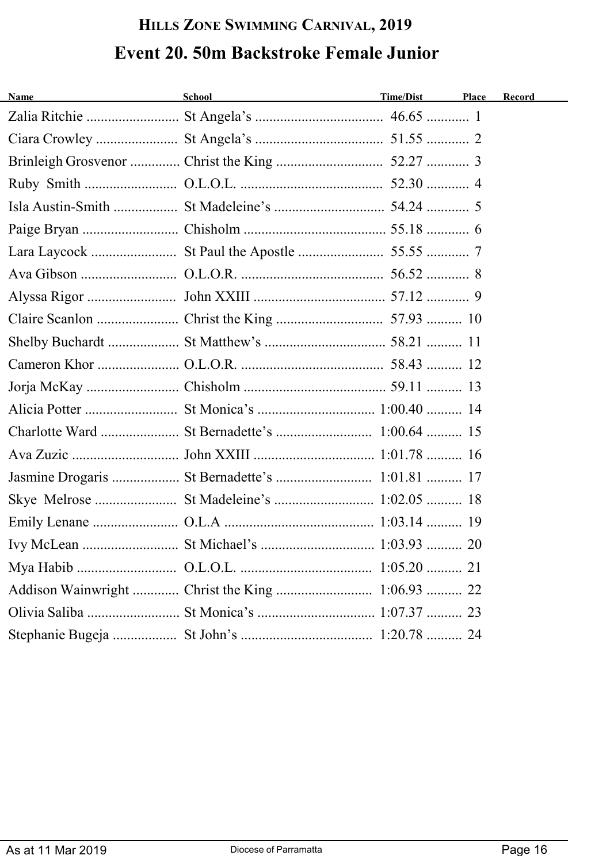# **HILLS ZONE SWIMMING CARNIVAL, 2019 Event 20. 50m Backstroke Female Junior**

| <b>Name</b> | School and the second second second second second second second second second second second second second second second second second second second second second second second second second second second second second seco | Time/Dist | Place | Record |
|-------------|--------------------------------------------------------------------------------------------------------------------------------------------------------------------------------------------------------------------------------|-----------|-------|--------|
|             |                                                                                                                                                                                                                                |           |       |        |
|             |                                                                                                                                                                                                                                |           |       |        |
|             |                                                                                                                                                                                                                                |           |       |        |
|             |                                                                                                                                                                                                                                |           |       |        |
|             |                                                                                                                                                                                                                                |           |       |        |
|             |                                                                                                                                                                                                                                |           |       |        |
|             |                                                                                                                                                                                                                                |           |       |        |
|             |                                                                                                                                                                                                                                |           |       |        |
|             |                                                                                                                                                                                                                                |           |       |        |
|             |                                                                                                                                                                                                                                |           |       |        |
|             |                                                                                                                                                                                                                                |           |       |        |
|             |                                                                                                                                                                                                                                |           |       |        |
|             |                                                                                                                                                                                                                                |           |       |        |
|             |                                                                                                                                                                                                                                |           |       |        |
|             |                                                                                                                                                                                                                                |           |       |        |
|             |                                                                                                                                                                                                                                |           |       |        |
|             |                                                                                                                                                                                                                                |           |       |        |
|             |                                                                                                                                                                                                                                |           |       |        |
|             |                                                                                                                                                                                                                                |           |       |        |
|             |                                                                                                                                                                                                                                |           |       |        |
|             |                                                                                                                                                                                                                                |           |       |        |
|             |                                                                                                                                                                                                                                |           |       |        |
|             |                                                                                                                                                                                                                                |           |       |        |
|             |                                                                                                                                                                                                                                |           |       |        |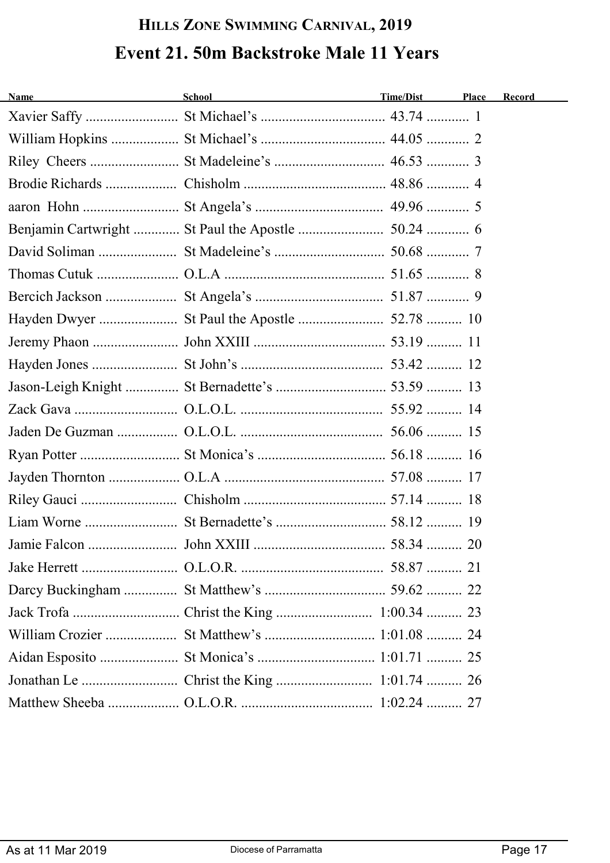# **HILLS ZONE SWIMMING CARNIVAL, 2019 Event 21. 50m Backstroke Male 11 Years**

| Time/Dist | Place                                                                                                          | Record                                     |
|-----------|----------------------------------------------------------------------------------------------------------------|--------------------------------------------|
|           |                                                                                                                |                                            |
|           |                                                                                                                |                                            |
|           |                                                                                                                |                                            |
|           |                                                                                                                |                                            |
|           |                                                                                                                |                                            |
|           |                                                                                                                |                                            |
|           |                                                                                                                |                                            |
|           |                                                                                                                |                                            |
|           |                                                                                                                |                                            |
|           |                                                                                                                |                                            |
|           |                                                                                                                |                                            |
|           |                                                                                                                |                                            |
|           |                                                                                                                |                                            |
|           |                                                                                                                |                                            |
|           |                                                                                                                |                                            |
|           |                                                                                                                |                                            |
|           |                                                                                                                |                                            |
|           |                                                                                                                |                                            |
|           |                                                                                                                |                                            |
|           |                                                                                                                |                                            |
|           |                                                                                                                |                                            |
|           |                                                                                                                |                                            |
|           |                                                                                                                |                                            |
|           |                                                                                                                |                                            |
|           |                                                                                                                |                                            |
|           |                                                                                                                |                                            |
|           |                                                                                                                |                                            |
|           | School and the contract of the contract of the contract of the contract of the contract of the contract of the | William Crozier  St Matthew's  1:01.08  24 |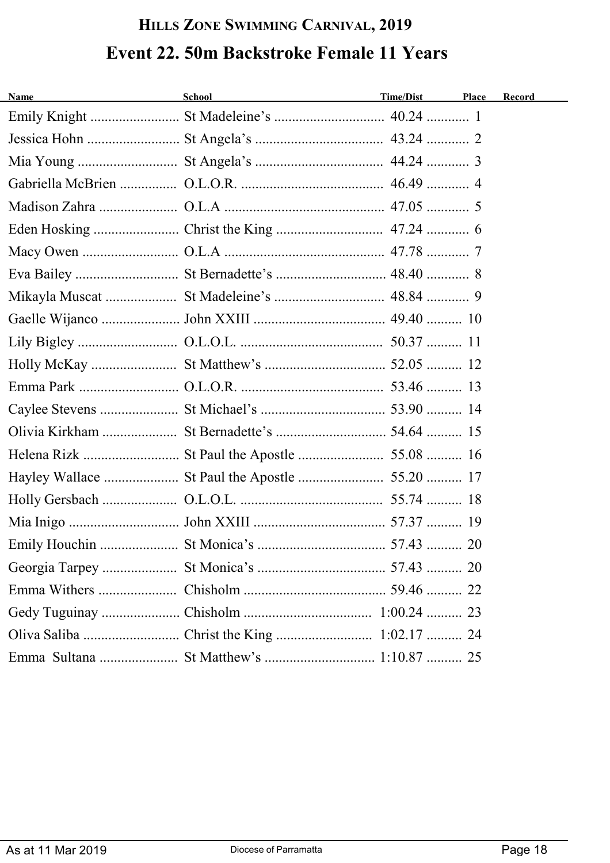# **HILLS ZONE SWIMMING CARNIVAL, 2019 Event 22. 50m Backstroke Female 11 Years**

| <b>Name</b> | School and the second second second second second second second second second second second second second second second second second second second second second second second second second second second second second seco | Time/Dist | Place | Record |
|-------------|--------------------------------------------------------------------------------------------------------------------------------------------------------------------------------------------------------------------------------|-----------|-------|--------|
|             |                                                                                                                                                                                                                                |           |       |        |
|             |                                                                                                                                                                                                                                |           |       |        |
|             |                                                                                                                                                                                                                                |           |       |        |
|             |                                                                                                                                                                                                                                |           |       |        |
|             |                                                                                                                                                                                                                                |           |       |        |
|             |                                                                                                                                                                                                                                |           |       |        |
|             |                                                                                                                                                                                                                                |           |       |        |
|             |                                                                                                                                                                                                                                |           |       |        |
|             |                                                                                                                                                                                                                                |           |       |        |
|             |                                                                                                                                                                                                                                |           |       |        |
|             |                                                                                                                                                                                                                                |           |       |        |
|             |                                                                                                                                                                                                                                |           |       |        |
|             |                                                                                                                                                                                                                                |           |       |        |
|             |                                                                                                                                                                                                                                |           |       |        |
|             |                                                                                                                                                                                                                                |           |       |        |
|             |                                                                                                                                                                                                                                |           |       |        |
|             |                                                                                                                                                                                                                                |           |       |        |
|             |                                                                                                                                                                                                                                |           |       |        |
|             |                                                                                                                                                                                                                                |           |       |        |
|             |                                                                                                                                                                                                                                |           |       |        |
|             |                                                                                                                                                                                                                                |           |       |        |
|             |                                                                                                                                                                                                                                |           |       |        |
|             |                                                                                                                                                                                                                                |           |       |        |
|             |                                                                                                                                                                                                                                |           |       |        |
|             |                                                                                                                                                                                                                                |           |       |        |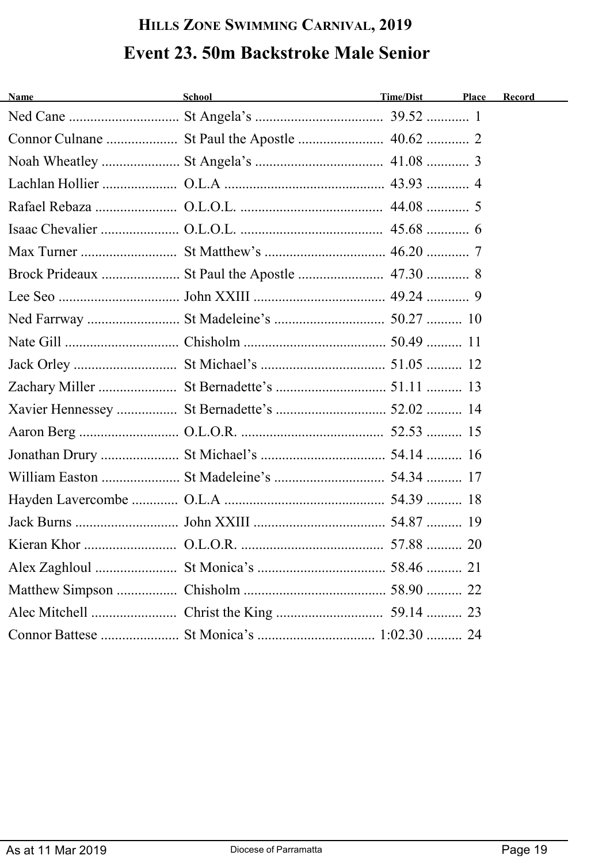### **HILLS ZONE SWIMMING CARNIVAL, 2019 Event 23. 50m Backstroke Male Senior**

| <b>Name</b><br><u> 1980 - Johann Barbara, martxa a</u> | School and the contract of the contract of the contract of the contract of the contract of the contract of the | Time/Dist | Place | Record |
|--------------------------------------------------------|----------------------------------------------------------------------------------------------------------------|-----------|-------|--------|
|                                                        |                                                                                                                |           |       |        |
|                                                        |                                                                                                                |           |       |        |
|                                                        |                                                                                                                |           |       |        |
|                                                        |                                                                                                                |           |       |        |
|                                                        |                                                                                                                |           |       |        |
|                                                        |                                                                                                                |           |       |        |
|                                                        |                                                                                                                |           |       |        |
|                                                        |                                                                                                                |           |       |        |
|                                                        |                                                                                                                |           |       |        |
|                                                        |                                                                                                                |           |       |        |
|                                                        |                                                                                                                |           |       |        |
|                                                        |                                                                                                                |           |       |        |
|                                                        |                                                                                                                |           |       |        |
|                                                        |                                                                                                                |           |       |        |
|                                                        |                                                                                                                |           |       |        |
|                                                        |                                                                                                                |           |       |        |
|                                                        |                                                                                                                |           |       |        |
|                                                        |                                                                                                                |           |       |        |
|                                                        |                                                                                                                |           |       |        |
|                                                        |                                                                                                                |           |       |        |
|                                                        |                                                                                                                |           |       |        |
|                                                        |                                                                                                                |           |       |        |
|                                                        |                                                                                                                |           |       |        |
|                                                        |                                                                                                                |           |       |        |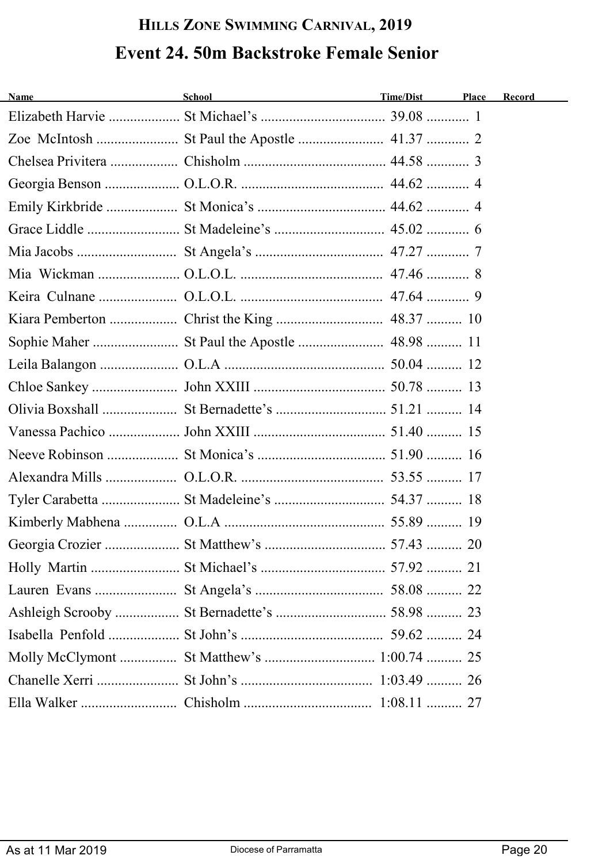# **HILLS ZONE SWIMMING CARNIVAL, 2019 Event 24. 50m Backstroke Female Senior**

| <b>Name</b><br><u> 1980 - Johann Barbara, martxa a</u> | School <u>contract the contract of the contract of the contract of the contract of the contract of the contract of the contract of the contract of the contract of the contract of the contract of the contract of the contract </u> | Time/Dist | Place | Record |
|--------------------------------------------------------|--------------------------------------------------------------------------------------------------------------------------------------------------------------------------------------------------------------------------------------|-----------|-------|--------|
|                                                        |                                                                                                                                                                                                                                      |           |       |        |
|                                                        |                                                                                                                                                                                                                                      |           |       |        |
|                                                        |                                                                                                                                                                                                                                      |           |       |        |
|                                                        |                                                                                                                                                                                                                                      |           |       |        |
|                                                        |                                                                                                                                                                                                                                      |           |       |        |
|                                                        |                                                                                                                                                                                                                                      |           |       |        |
|                                                        |                                                                                                                                                                                                                                      |           |       |        |
|                                                        |                                                                                                                                                                                                                                      |           |       |        |
|                                                        |                                                                                                                                                                                                                                      |           |       |        |
|                                                        |                                                                                                                                                                                                                                      |           |       |        |
|                                                        |                                                                                                                                                                                                                                      |           |       |        |
|                                                        |                                                                                                                                                                                                                                      |           |       |        |
|                                                        |                                                                                                                                                                                                                                      |           |       |        |
|                                                        |                                                                                                                                                                                                                                      |           |       |        |
|                                                        |                                                                                                                                                                                                                                      |           |       |        |
|                                                        |                                                                                                                                                                                                                                      |           |       |        |
|                                                        |                                                                                                                                                                                                                                      |           |       |        |
|                                                        |                                                                                                                                                                                                                                      |           |       |        |
|                                                        |                                                                                                                                                                                                                                      |           |       |        |
|                                                        |                                                                                                                                                                                                                                      |           |       |        |
|                                                        |                                                                                                                                                                                                                                      |           |       |        |
|                                                        |                                                                                                                                                                                                                                      |           |       |        |
|                                                        |                                                                                                                                                                                                                                      |           |       |        |
|                                                        |                                                                                                                                                                                                                                      |           |       |        |
|                                                        |                                                                                                                                                                                                                                      |           |       |        |
|                                                        |                                                                                                                                                                                                                                      |           |       |        |
|                                                        |                                                                                                                                                                                                                                      |           |       |        |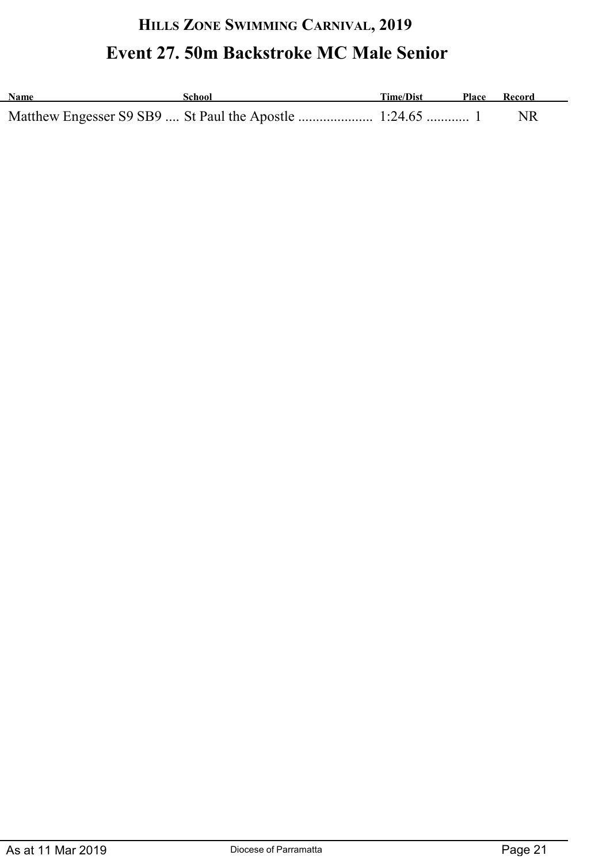# **HILLS ZONE SWIMMING CARNIVAL, 2019 Event 27. 50m Backstroke MC Male Senior**

| <b>Name</b> | School | Time/Dist | Place | Record |
|-------------|--------|-----------|-------|--------|
|             |        |           |       |        |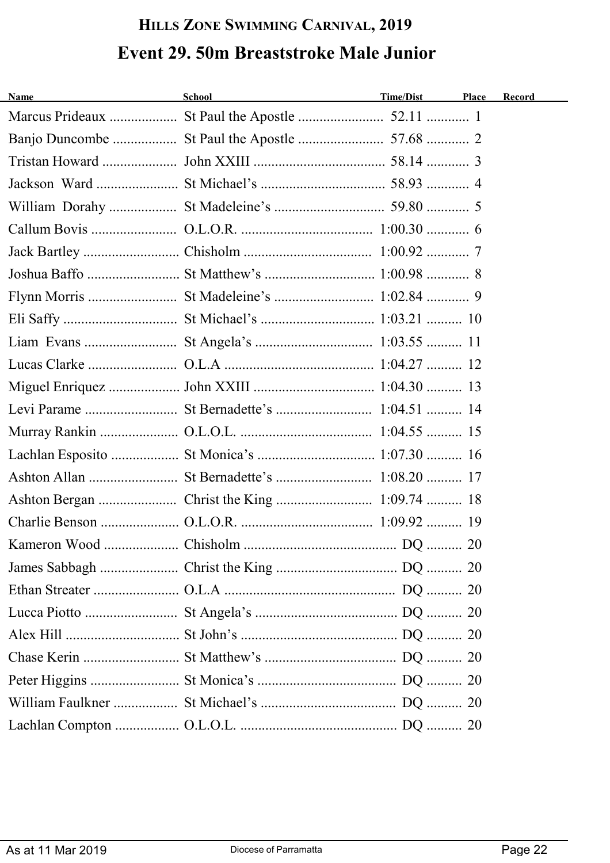# **HILLS ZONE SWIMMING CARNIVAL, 2019 Event 29. 50m Breaststroke Male Junior**

| Name | School | Time/Dist | Place | Record |
|------|--------|-----------|-------|--------|
|      |        |           |       |        |
|      |        |           |       |        |
|      |        |           |       |        |
|      |        |           |       |        |
|      |        |           |       |        |
|      |        |           |       |        |
|      |        |           |       |        |
|      |        |           |       |        |
|      |        |           |       |        |
|      |        |           |       |        |
|      |        |           |       |        |
|      |        |           |       |        |
|      |        |           |       |        |
|      |        |           |       |        |
|      |        |           |       |        |
|      |        |           |       |        |
|      |        |           |       |        |
|      |        |           |       |        |
|      |        |           |       |        |
|      |        |           |       |        |
|      |        |           |       |        |
|      |        |           |       |        |
|      |        |           |       |        |
|      |        |           |       |        |
|      |        |           |       |        |
|      |        |           |       |        |
|      |        |           |       |        |
|      |        |           |       |        |
|      |        |           |       |        |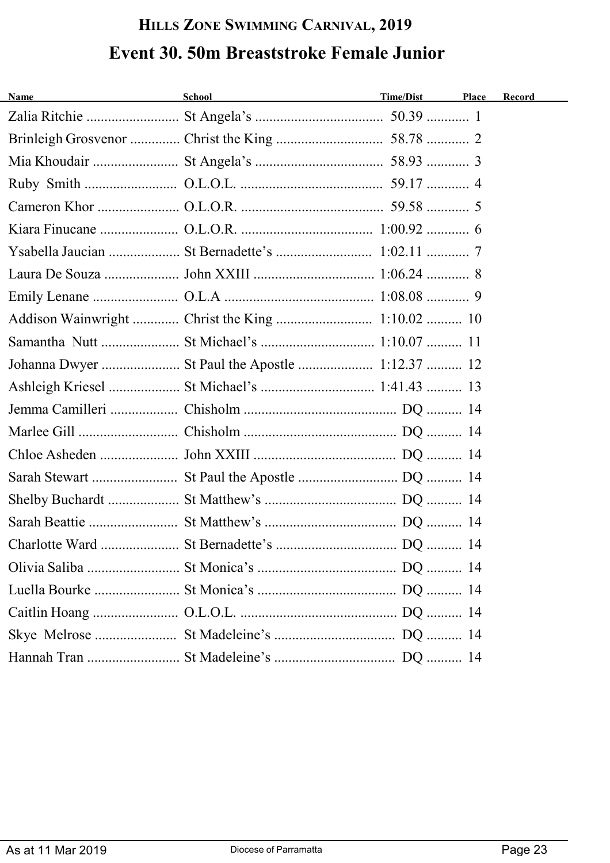# **HILLS ZONE SWIMMING CARNIVAL, 2019 Event 30. 50m Breaststroke Female Junior**

| <b>Name</b><br><u> 1989 - Johann Barn, mars ann an t-A</u> | School<br><u> 1989 - Johann Barn, mars an t-Amerikaansk kommunister (</u> | Time/Dist | Place | Record |
|------------------------------------------------------------|---------------------------------------------------------------------------|-----------|-------|--------|
|                                                            |                                                                           |           |       |        |
|                                                            |                                                                           |           |       |        |
|                                                            |                                                                           |           |       |        |
|                                                            |                                                                           |           |       |        |
|                                                            |                                                                           |           |       |        |
|                                                            |                                                                           |           |       |        |
|                                                            |                                                                           |           |       |        |
|                                                            |                                                                           |           |       |        |
|                                                            |                                                                           |           |       |        |
|                                                            |                                                                           |           |       |        |
|                                                            |                                                                           |           |       |        |
|                                                            |                                                                           |           |       |        |
|                                                            |                                                                           |           |       |        |
|                                                            |                                                                           |           |       |        |
|                                                            |                                                                           |           |       |        |
|                                                            |                                                                           |           |       |        |
|                                                            |                                                                           |           |       |        |
|                                                            |                                                                           |           |       |        |
|                                                            |                                                                           |           |       |        |
|                                                            |                                                                           |           |       |        |
|                                                            |                                                                           |           |       |        |
|                                                            |                                                                           |           |       |        |
|                                                            |                                                                           |           |       |        |
|                                                            |                                                                           |           |       |        |
|                                                            |                                                                           |           |       |        |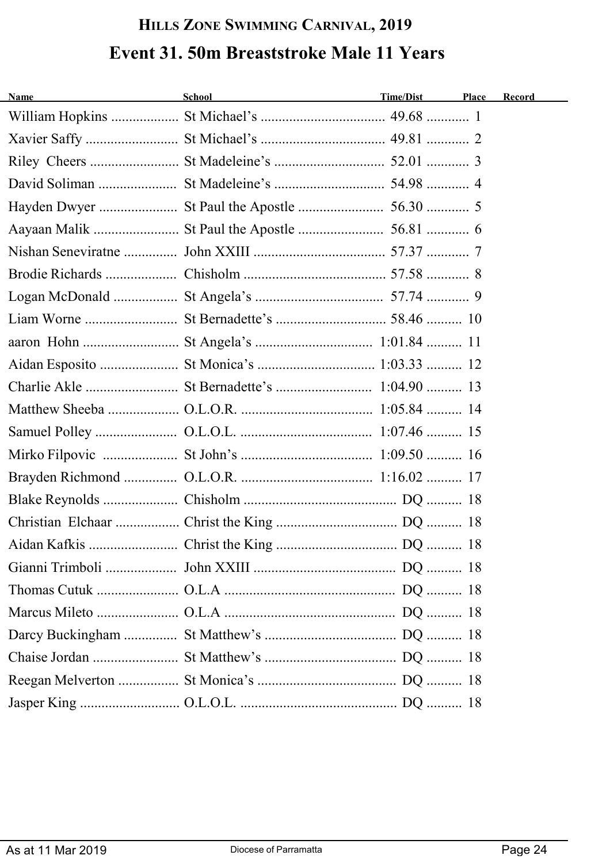# **HILLS ZONE SWIMMING CARNIVAL, 2019 Event 31. 50m Breaststroke Male 11 Years**

| <b>Name</b> | School <b>Example 2018</b> | Time/Dist | <b>Place</b> | Record |
|-------------|----------------------------|-----------|--------------|--------|
|             |                            |           |              |        |
|             |                            |           |              |        |
|             |                            |           |              |        |
|             |                            |           |              |        |
|             |                            |           |              |        |
|             |                            |           |              |        |
|             |                            |           |              |        |
|             |                            |           |              |        |
|             |                            |           |              |        |
|             |                            |           |              |        |
|             |                            |           |              |        |
|             |                            |           |              |        |
|             |                            |           |              |        |
|             |                            |           |              |        |
|             |                            |           |              |        |
|             |                            |           |              |        |
|             |                            |           |              |        |
|             |                            |           |              |        |
|             |                            |           |              |        |
|             |                            |           |              |        |
|             |                            |           |              |        |
|             |                            |           |              |        |
|             |                            |           |              |        |
|             |                            |           |              |        |
|             |                            |           |              |        |
|             |                            |           |              |        |
|             |                            |           |              |        |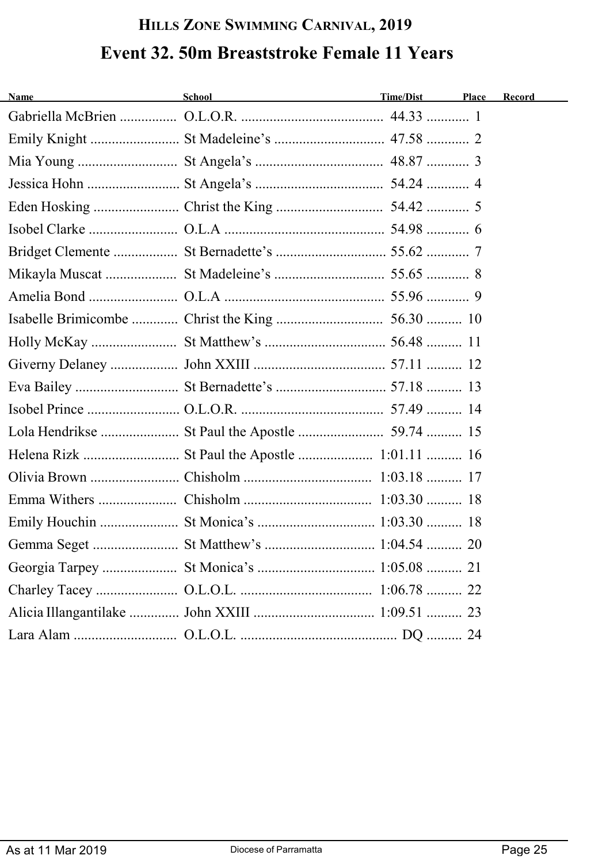# **HILLS ZONE SWIMMING CARNIVAL, 2019 Event 32. 50m Breaststroke Female 11 Years**

| <b>Name</b><br><u> 1980 - Johann Barbara, martxa alemaniar a</u> | School <b>Example 2018</b> | Time/Dist | Place | Record |
|------------------------------------------------------------------|----------------------------|-----------|-------|--------|
|                                                                  |                            |           |       |        |
|                                                                  |                            |           |       |        |
|                                                                  |                            |           |       |        |
|                                                                  |                            |           |       |        |
|                                                                  |                            |           |       |        |
|                                                                  |                            |           |       |        |
|                                                                  |                            |           |       |        |
|                                                                  |                            |           |       |        |
|                                                                  |                            |           |       |        |
|                                                                  |                            |           |       |        |
|                                                                  |                            |           |       |        |
|                                                                  |                            |           |       |        |
|                                                                  |                            |           |       |        |
|                                                                  |                            |           |       |        |
|                                                                  |                            |           |       |        |
|                                                                  |                            |           |       |        |
|                                                                  |                            |           |       |        |
|                                                                  |                            |           |       |        |
|                                                                  |                            |           |       |        |
|                                                                  |                            |           |       |        |
|                                                                  |                            |           |       |        |
|                                                                  |                            |           |       |        |
|                                                                  |                            |           |       |        |
|                                                                  |                            |           |       |        |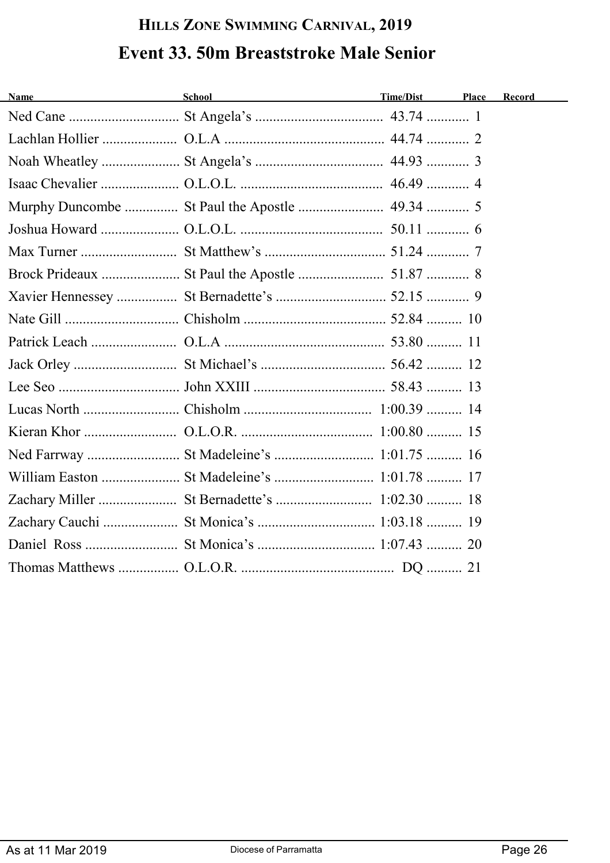# **HILLS ZONE SWIMMING CARNIVAL, 2019 Event 33. 50m Breaststroke Male Senior**

| <b>Name</b> | School                                   | Time/Dist | Place | Record |
|-------------|------------------------------------------|-----------|-------|--------|
|             |                                          |           |       |        |
|             |                                          |           |       |        |
|             |                                          |           |       |        |
|             |                                          |           |       |        |
|             |                                          |           |       |        |
|             |                                          |           |       |        |
|             |                                          |           |       |        |
|             |                                          |           |       |        |
|             |                                          |           |       |        |
|             |                                          |           |       |        |
|             |                                          |           |       |        |
|             |                                          |           |       |        |
|             |                                          |           |       |        |
|             |                                          |           |       |        |
|             |                                          |           |       |        |
|             |                                          |           |       |        |
|             |                                          |           |       |        |
|             |                                          |           |       |        |
|             | Zachary Cauchi  St Monica's  1:03.18  19 |           |       |        |
|             |                                          |           |       |        |
|             |                                          |           |       |        |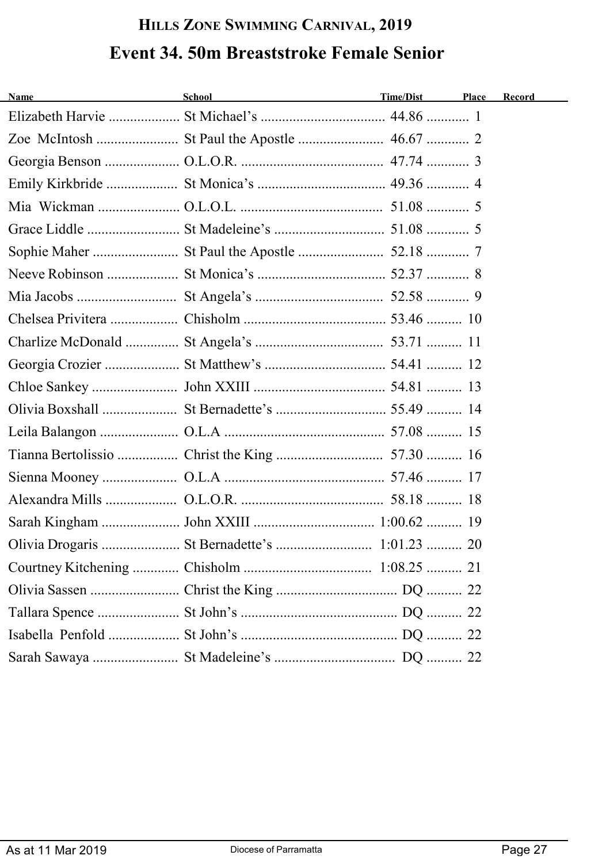# **HILLS ZONE SWIMMING CARNIVAL, 2019 Event 34. 50m Breaststroke Female Senior**

| <b>Name</b><br><u> 1980 - Johann Barbara, martxa alemaniar a</u> | School and the contract of the contract of the contract of the contract of the contract of the contract of the | Time/Dist | Place | Record |
|------------------------------------------------------------------|----------------------------------------------------------------------------------------------------------------|-----------|-------|--------|
|                                                                  |                                                                                                                |           |       |        |
|                                                                  |                                                                                                                |           |       |        |
|                                                                  |                                                                                                                |           |       |        |
|                                                                  |                                                                                                                |           |       |        |
|                                                                  |                                                                                                                |           |       |        |
|                                                                  |                                                                                                                |           |       |        |
|                                                                  |                                                                                                                |           |       |        |
|                                                                  |                                                                                                                |           |       |        |
|                                                                  |                                                                                                                |           |       |        |
|                                                                  |                                                                                                                |           |       |        |
|                                                                  |                                                                                                                |           |       |        |
|                                                                  |                                                                                                                |           |       |        |
|                                                                  |                                                                                                                |           |       |        |
|                                                                  |                                                                                                                |           |       |        |
|                                                                  |                                                                                                                |           |       |        |
|                                                                  |                                                                                                                |           |       |        |
|                                                                  |                                                                                                                |           |       |        |
|                                                                  |                                                                                                                |           |       |        |
|                                                                  |                                                                                                                |           |       |        |
|                                                                  |                                                                                                                |           |       |        |
|                                                                  |                                                                                                                |           |       |        |
|                                                                  |                                                                                                                |           |       |        |
|                                                                  |                                                                                                                |           |       |        |
|                                                                  |                                                                                                                |           |       |        |
|                                                                  |                                                                                                                |           |       |        |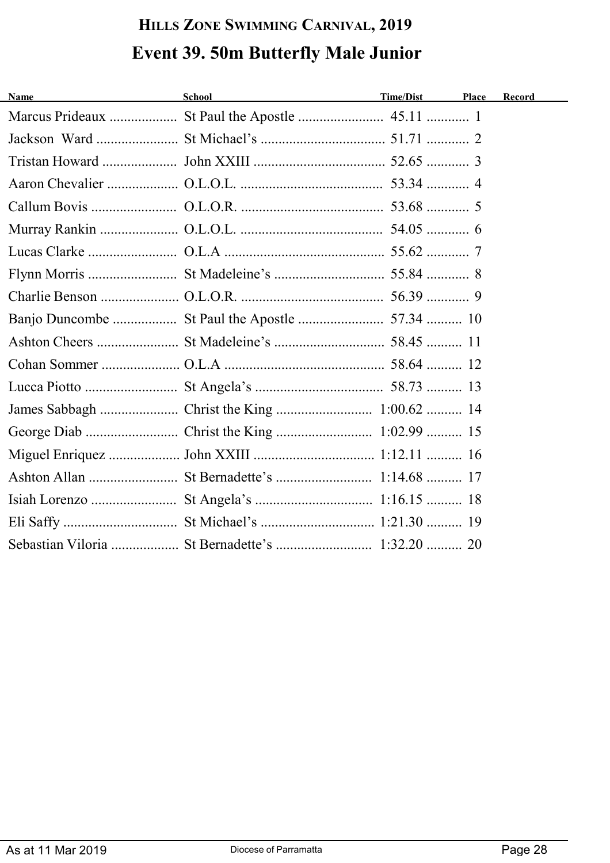# **HILLS ZONE SWIMMING CARNIVAL, 2019 Event 39. 50m Butterfly Male Junior**

| <b>Name</b> | <b>School</b> | <b>Time/Dist</b> | Place | Record |
|-------------|---------------|------------------|-------|--------|
|             |               |                  |       |        |
|             |               |                  |       |        |
|             |               |                  |       |        |
|             |               |                  |       |        |
|             |               |                  |       |        |
|             |               |                  |       |        |
|             |               |                  |       |        |
|             |               |                  |       |        |
|             |               |                  |       |        |
|             |               |                  |       |        |
|             |               |                  |       |        |
|             |               |                  |       |        |
|             |               |                  |       |        |
|             |               |                  |       |        |
|             |               |                  |       |        |
|             |               |                  |       |        |
|             |               |                  |       |        |
|             |               |                  |       |        |
|             |               |                  |       |        |
|             |               |                  |       |        |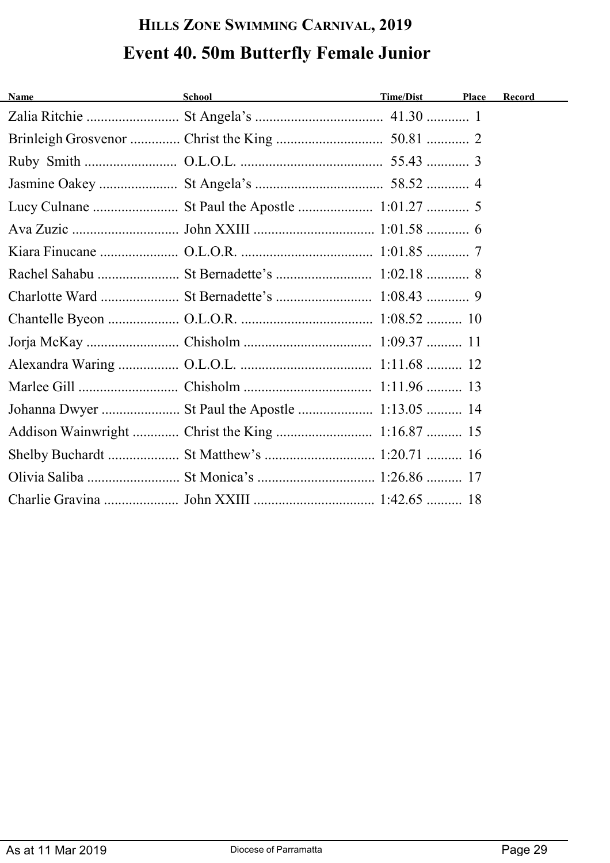# **HILLS ZONE SWIMMING CARNIVAL, 2019 Event 40. 50m Butterfly Female Junior**

| <b>Name</b> | School and the contract of the contract of the contract of the contract of the contract of the contract of the | Time/Dist | Place | Record |
|-------------|----------------------------------------------------------------------------------------------------------------|-----------|-------|--------|
|             |                                                                                                                |           |       |        |
|             |                                                                                                                |           |       |        |
|             |                                                                                                                |           |       |        |
|             |                                                                                                                |           |       |        |
|             |                                                                                                                |           |       |        |
|             |                                                                                                                |           |       |        |
|             |                                                                                                                |           |       |        |
|             |                                                                                                                |           |       |        |
|             |                                                                                                                |           |       |        |
|             |                                                                                                                |           |       |        |
|             |                                                                                                                |           |       |        |
|             |                                                                                                                |           |       |        |
|             |                                                                                                                |           |       |        |
|             |                                                                                                                |           |       |        |
|             |                                                                                                                |           |       |        |
|             | Shelby Buchardt  St Matthew's  1:20.71  16                                                                     |           |       |        |
|             |                                                                                                                |           |       |        |
|             |                                                                                                                |           |       |        |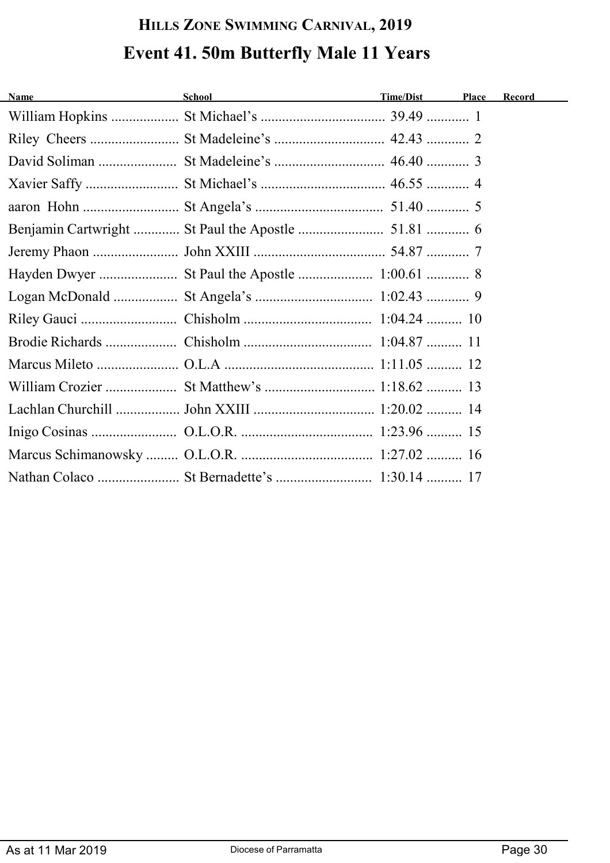# **HILLS ZONE SWIMMING CARNIVAL, 2019 Event 41. 50m Butterfly Male 11 Years**

| <b>Name</b> | School and the contract of the contract of the contract of the contract of the contract of the contract of the | Time/Dist | Place | Record |
|-------------|----------------------------------------------------------------------------------------------------------------|-----------|-------|--------|
|             |                                                                                                                |           |       |        |
|             |                                                                                                                |           |       |        |
|             |                                                                                                                |           |       |        |
|             |                                                                                                                |           |       |        |
|             |                                                                                                                |           |       |        |
|             |                                                                                                                |           |       |        |
|             |                                                                                                                |           |       |        |
|             |                                                                                                                |           |       |        |
|             |                                                                                                                |           |       |        |
|             |                                                                                                                |           |       |        |
|             |                                                                                                                |           |       |        |
|             |                                                                                                                |           |       |        |
|             |                                                                                                                |           |       |        |
|             |                                                                                                                |           |       |        |
|             |                                                                                                                |           |       |        |
|             |                                                                                                                |           |       |        |
|             |                                                                                                                |           |       |        |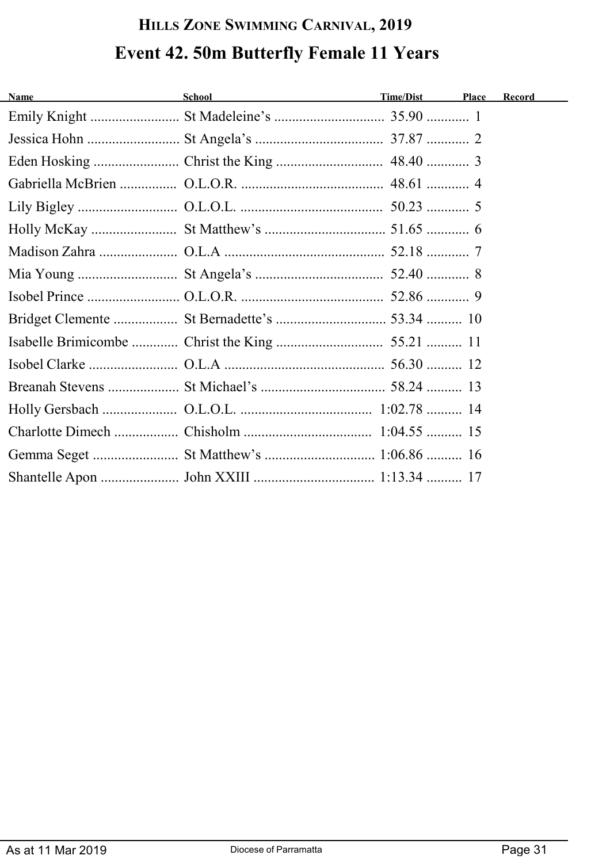# **HILLS ZONE SWIMMING CARNIVAL, 2019 Event 42. 50m Butterfly Female 11 Years**

| <b>Name</b> | School and the second second second second second second second second second second second second second second second second second second second second second second second second second second second second second seco | Time/Dist | Place | Record |
|-------------|--------------------------------------------------------------------------------------------------------------------------------------------------------------------------------------------------------------------------------|-----------|-------|--------|
|             |                                                                                                                                                                                                                                |           |       |        |
|             |                                                                                                                                                                                                                                |           |       |        |
|             |                                                                                                                                                                                                                                |           |       |        |
|             |                                                                                                                                                                                                                                |           |       |        |
|             |                                                                                                                                                                                                                                |           |       |        |
|             |                                                                                                                                                                                                                                |           |       |        |
|             |                                                                                                                                                                                                                                |           |       |        |
|             |                                                                                                                                                                                                                                |           |       |        |
|             |                                                                                                                                                                                                                                |           |       |        |
|             |                                                                                                                                                                                                                                |           |       |        |
|             |                                                                                                                                                                                                                                |           |       |        |
|             |                                                                                                                                                                                                                                |           |       |        |
|             |                                                                                                                                                                                                                                |           |       |        |
|             |                                                                                                                                                                                                                                |           |       |        |
|             |                                                                                                                                                                                                                                |           |       |        |
|             |                                                                                                                                                                                                                                |           |       |        |
|             |                                                                                                                                                                                                                                |           |       |        |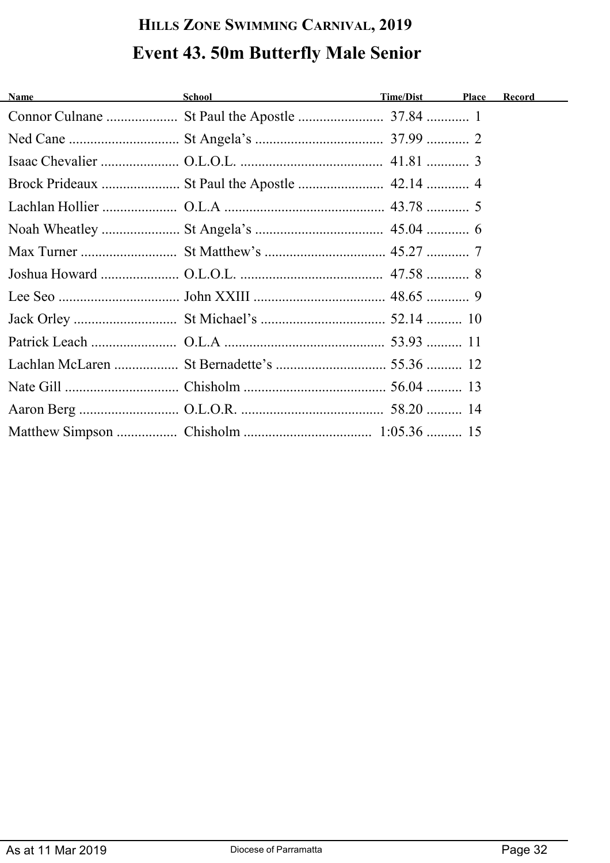# **HILLS ZONE SWIMMING CARNIVAL, 2019 Event 43. 50m Butterfly Male Senior**

| <u> 1989 - Johann Barn, mars eta bainar eta i</u><br><b>Name</b> | <b>School</b> School and the second second second second second second second second second second second second second second second second second second second second second second second second second second second second se | Time/Dist | Place | Record |
|------------------------------------------------------------------|-------------------------------------------------------------------------------------------------------------------------------------------------------------------------------------------------------------------------------------|-----------|-------|--------|
|                                                                  |                                                                                                                                                                                                                                     |           |       |        |
|                                                                  |                                                                                                                                                                                                                                     |           |       |        |
|                                                                  |                                                                                                                                                                                                                                     |           |       |        |
|                                                                  |                                                                                                                                                                                                                                     |           |       |        |
|                                                                  |                                                                                                                                                                                                                                     |           |       |        |
|                                                                  |                                                                                                                                                                                                                                     |           |       |        |
|                                                                  |                                                                                                                                                                                                                                     |           |       |        |
|                                                                  |                                                                                                                                                                                                                                     |           |       |        |
|                                                                  |                                                                                                                                                                                                                                     |           |       |        |
|                                                                  |                                                                                                                                                                                                                                     |           |       |        |
|                                                                  |                                                                                                                                                                                                                                     |           |       |        |
|                                                                  |                                                                                                                                                                                                                                     |           |       |        |
|                                                                  |                                                                                                                                                                                                                                     |           |       |        |
|                                                                  |                                                                                                                                                                                                                                     |           |       |        |
|                                                                  |                                                                                                                                                                                                                                     |           |       |        |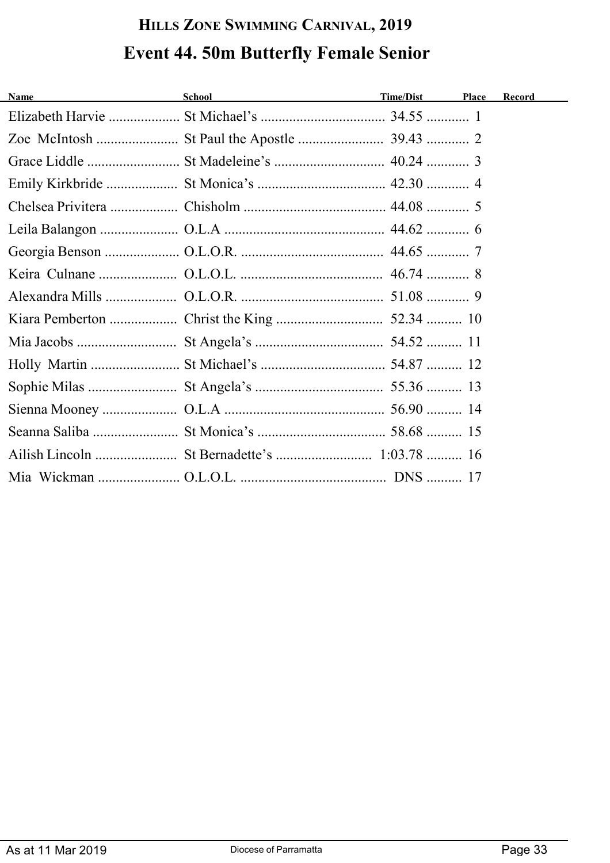# **HILLS ZONE SWIMMING CARNIVAL, 2019 Event 44. 50m Butterfly Female Senior**

| <b>Name</b> | School and the state of the state of the state of the state of the state of the state of the state of the state of the state of the state of the state of the state of the state of the state of the state of the state of the | Time/Dist | Place | Record |
|-------------|--------------------------------------------------------------------------------------------------------------------------------------------------------------------------------------------------------------------------------|-----------|-------|--------|
|             |                                                                                                                                                                                                                                |           |       |        |
|             |                                                                                                                                                                                                                                |           |       |        |
|             |                                                                                                                                                                                                                                |           |       |        |
|             |                                                                                                                                                                                                                                |           |       |        |
|             |                                                                                                                                                                                                                                |           |       |        |
|             |                                                                                                                                                                                                                                |           |       |        |
|             |                                                                                                                                                                                                                                |           |       |        |
|             |                                                                                                                                                                                                                                |           |       |        |
|             |                                                                                                                                                                                                                                |           |       |        |
|             |                                                                                                                                                                                                                                |           |       |        |
|             |                                                                                                                                                                                                                                |           |       |        |
|             |                                                                                                                                                                                                                                |           |       |        |
|             |                                                                                                                                                                                                                                |           |       |        |
|             |                                                                                                                                                                                                                                |           |       |        |
|             |                                                                                                                                                                                                                                |           |       |        |
|             |                                                                                                                                                                                                                                |           |       |        |
|             |                                                                                                                                                                                                                                |           |       |        |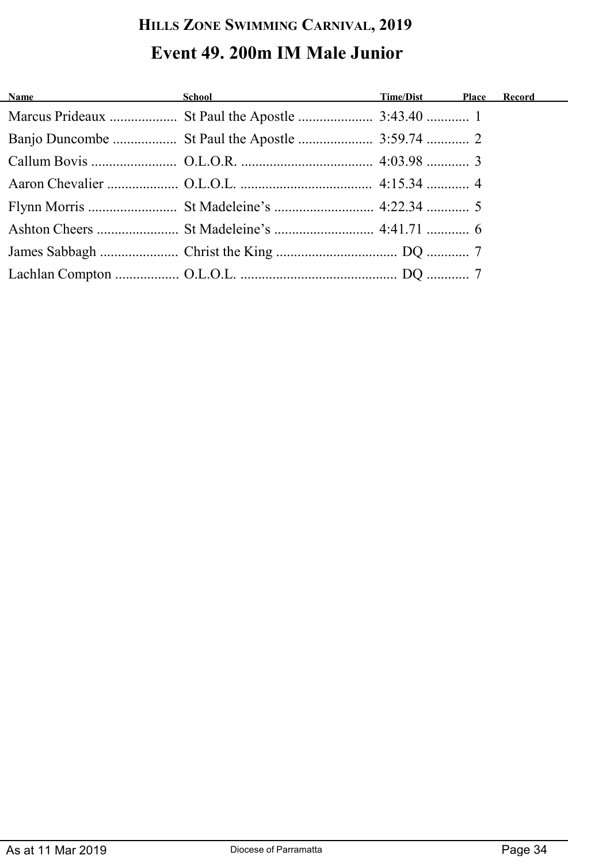### **HILLS ZONE SWIMMING CARNIVAL, 2019 Event 49. 200m IM Male Junior**

| Name and the state of the state of the state of the state of the state of the state of the state of the state of the state of the state of the state of the state of the state of the state of the state of the state of the s | School Time/Dist Place |  | <b>Record</b> |
|--------------------------------------------------------------------------------------------------------------------------------------------------------------------------------------------------------------------------------|------------------------|--|---------------|
|                                                                                                                                                                                                                                |                        |  |               |
|                                                                                                                                                                                                                                |                        |  |               |
|                                                                                                                                                                                                                                |                        |  |               |
|                                                                                                                                                                                                                                |                        |  |               |
|                                                                                                                                                                                                                                |                        |  |               |
|                                                                                                                                                                                                                                |                        |  |               |
|                                                                                                                                                                                                                                |                        |  |               |
|                                                                                                                                                                                                                                |                        |  |               |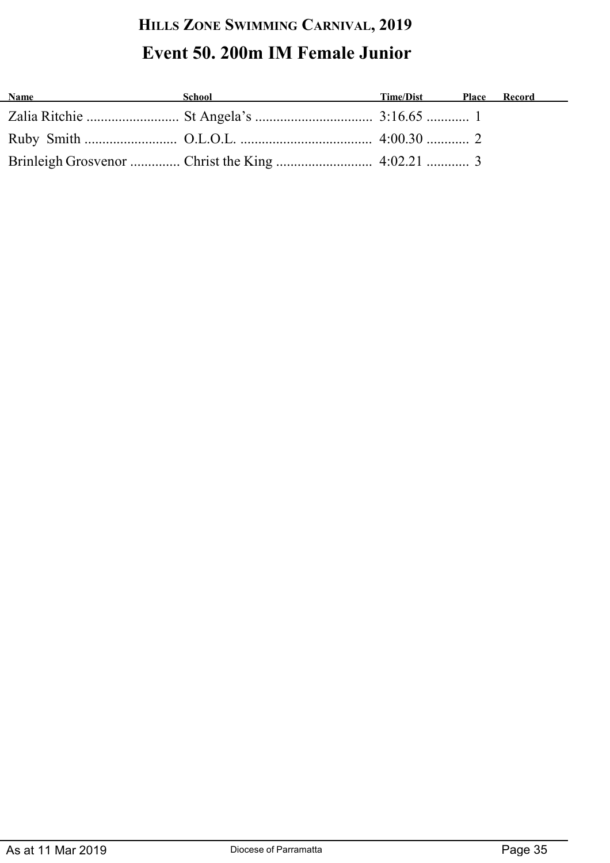### **HILLS ZONE SWIMMING CARNIVAL, 2019 Event 50. 200m IM Female Junior**

| <b>Name</b><br><u> 1989 - Johann Barbara, martxa alemaniar a</u> | School | Time/Dist Place Record |  |
|------------------------------------------------------------------|--------|------------------------|--|
|                                                                  |        |                        |  |
|                                                                  |        |                        |  |
|                                                                  |        |                        |  |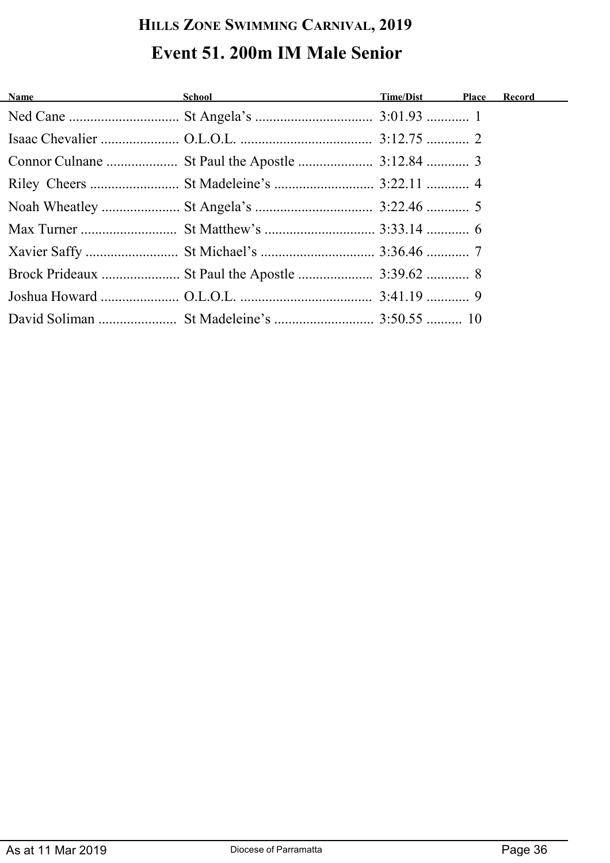#### **HILLS ZONE SWIMMING CARNIVAL, 2019 Event 51. 200m IM Male Senior**

| <b>Name</b> School School <b>Containers School Containers Time/Dist</b> Place Record |  |  |
|--------------------------------------------------------------------------------------|--|--|
|                                                                                      |  |  |
|                                                                                      |  |  |
|                                                                                      |  |  |
|                                                                                      |  |  |
|                                                                                      |  |  |
|                                                                                      |  |  |
|                                                                                      |  |  |
|                                                                                      |  |  |
|                                                                                      |  |  |
|                                                                                      |  |  |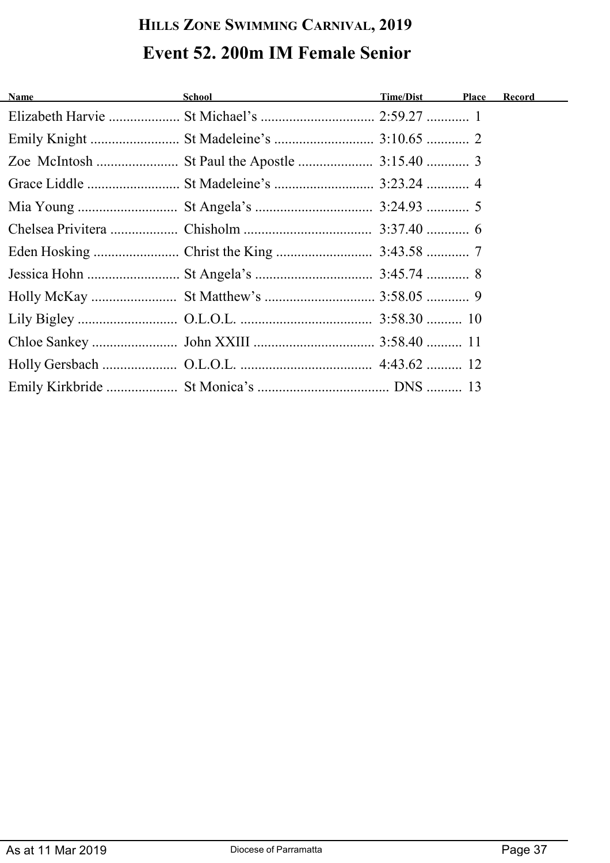### **HILLS ZONE SWIMMING CARNIVAL, 2019 Event 52. 200m IM Female Senior**

| Name and the contract of the contract of the contract of the contract of the contract of the contract of the contract of the contract of the contract of the contract of the contract of the contract of the contract of the c | School <b>School School School School School School School School School School School School School School School School School School School School School School School School</b> | Time/Dist Place | Record |
|--------------------------------------------------------------------------------------------------------------------------------------------------------------------------------------------------------------------------------|---------------------------------------------------------------------------------------------------------------------------------------------------------------------------------------|-----------------|--------|
|                                                                                                                                                                                                                                |                                                                                                                                                                                       |                 |        |
|                                                                                                                                                                                                                                |                                                                                                                                                                                       |                 |        |
|                                                                                                                                                                                                                                |                                                                                                                                                                                       |                 |        |
|                                                                                                                                                                                                                                |                                                                                                                                                                                       |                 |        |
|                                                                                                                                                                                                                                |                                                                                                                                                                                       |                 |        |
|                                                                                                                                                                                                                                |                                                                                                                                                                                       |                 |        |
|                                                                                                                                                                                                                                |                                                                                                                                                                                       |                 |        |
|                                                                                                                                                                                                                                |                                                                                                                                                                                       |                 |        |
|                                                                                                                                                                                                                                |                                                                                                                                                                                       |                 |        |
|                                                                                                                                                                                                                                |                                                                                                                                                                                       |                 |        |
|                                                                                                                                                                                                                                |                                                                                                                                                                                       |                 |        |
|                                                                                                                                                                                                                                |                                                                                                                                                                                       |                 |        |
|                                                                                                                                                                                                                                |                                                                                                                                                                                       |                 |        |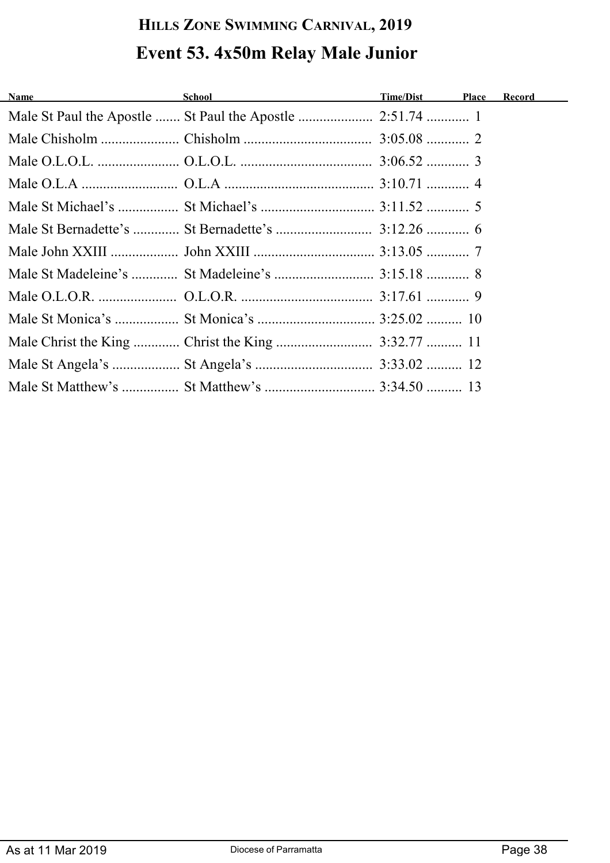# **HILLS ZONE SWIMMING CARNIVAL, 2019 Event 53. 4x50m Relay Male Junior**

| Name | School and the second second second second second second second second second second second second second second second second second second second second second second second second second second second second second seco | Time/Dist Place Record |  |
|------|--------------------------------------------------------------------------------------------------------------------------------------------------------------------------------------------------------------------------------|------------------------|--|
|      |                                                                                                                                                                                                                                |                        |  |
|      |                                                                                                                                                                                                                                |                        |  |
|      |                                                                                                                                                                                                                                |                        |  |
|      |                                                                                                                                                                                                                                |                        |  |
|      |                                                                                                                                                                                                                                |                        |  |
|      |                                                                                                                                                                                                                                |                        |  |
|      |                                                                                                                                                                                                                                |                        |  |
|      |                                                                                                                                                                                                                                |                        |  |
|      |                                                                                                                                                                                                                                |                        |  |
|      |                                                                                                                                                                                                                                |                        |  |
|      |                                                                                                                                                                                                                                |                        |  |
|      |                                                                                                                                                                                                                                |                        |  |
|      |                                                                                                                                                                                                                                |                        |  |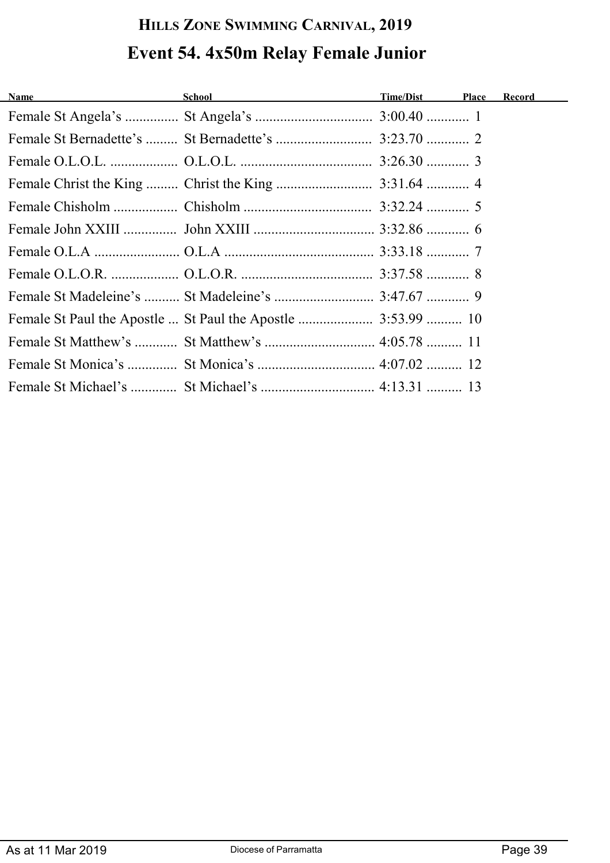# **HILLS ZONE SWIMMING CARNIVAL, 2019 Event 54. 4x50m Relay Female Junior**

| Name and the contract of the contract of the contract of the contract of the contract of the contract of the contract of the contract of the contract of the contract of the contract of the contract of the contract of the c | School and the state of the state of the state of the state of the state of the state of the state of the state of the state of the state of the state of the state of the state of the state of the state of the state of the | Time/Dist Place Record |  |
|--------------------------------------------------------------------------------------------------------------------------------------------------------------------------------------------------------------------------------|--------------------------------------------------------------------------------------------------------------------------------------------------------------------------------------------------------------------------------|------------------------|--|
|                                                                                                                                                                                                                                |                                                                                                                                                                                                                                |                        |  |
|                                                                                                                                                                                                                                |                                                                                                                                                                                                                                |                        |  |
|                                                                                                                                                                                                                                |                                                                                                                                                                                                                                |                        |  |
|                                                                                                                                                                                                                                |                                                                                                                                                                                                                                |                        |  |
|                                                                                                                                                                                                                                |                                                                                                                                                                                                                                |                        |  |
|                                                                                                                                                                                                                                |                                                                                                                                                                                                                                |                        |  |
|                                                                                                                                                                                                                                |                                                                                                                                                                                                                                |                        |  |
|                                                                                                                                                                                                                                |                                                                                                                                                                                                                                |                        |  |
|                                                                                                                                                                                                                                |                                                                                                                                                                                                                                |                        |  |
|                                                                                                                                                                                                                                |                                                                                                                                                                                                                                |                        |  |
|                                                                                                                                                                                                                                |                                                                                                                                                                                                                                |                        |  |
|                                                                                                                                                                                                                                |                                                                                                                                                                                                                                |                        |  |
|                                                                                                                                                                                                                                |                                                                                                                                                                                                                                |                        |  |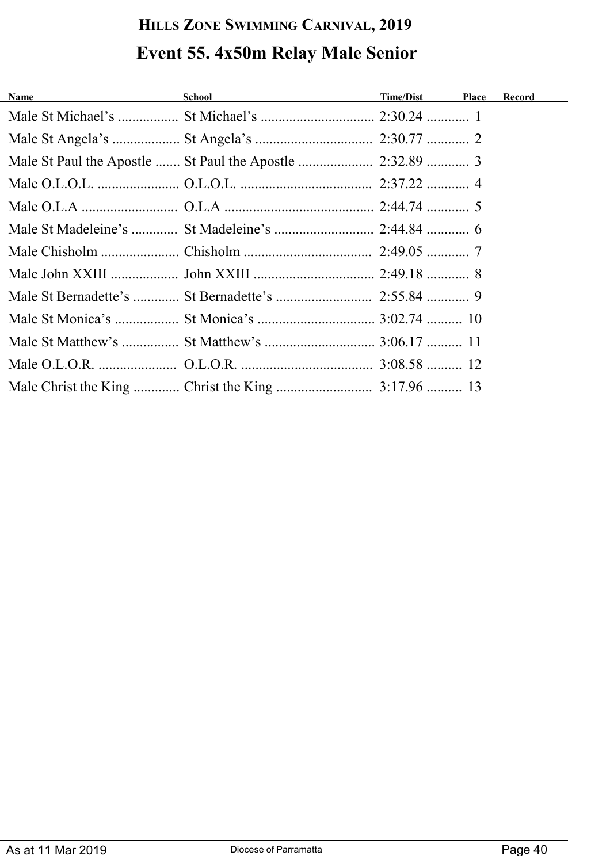# **HILLS ZONE SWIMMING CARNIVAL, 2019 Event 55. 4x50m Relay Male Senior**

| Name and the state of the state of the state of the state of the state of the state of the state of the state of the state of the state of the state of the state of the state of the state of the state of the state of the s | School and the state of the state of the state of the state of the state of the state of the state of the state of the state of the state of the state of the state of the state of the state of the state of the state of the | Time/Dist Place Record |  |
|--------------------------------------------------------------------------------------------------------------------------------------------------------------------------------------------------------------------------------|--------------------------------------------------------------------------------------------------------------------------------------------------------------------------------------------------------------------------------|------------------------|--|
|                                                                                                                                                                                                                                |                                                                                                                                                                                                                                |                        |  |
|                                                                                                                                                                                                                                |                                                                                                                                                                                                                                |                        |  |
|                                                                                                                                                                                                                                |                                                                                                                                                                                                                                |                        |  |
|                                                                                                                                                                                                                                |                                                                                                                                                                                                                                |                        |  |
|                                                                                                                                                                                                                                |                                                                                                                                                                                                                                |                        |  |
|                                                                                                                                                                                                                                |                                                                                                                                                                                                                                |                        |  |
|                                                                                                                                                                                                                                |                                                                                                                                                                                                                                |                        |  |
|                                                                                                                                                                                                                                |                                                                                                                                                                                                                                |                        |  |
|                                                                                                                                                                                                                                |                                                                                                                                                                                                                                |                        |  |
|                                                                                                                                                                                                                                |                                                                                                                                                                                                                                |                        |  |
|                                                                                                                                                                                                                                |                                                                                                                                                                                                                                |                        |  |
|                                                                                                                                                                                                                                |                                                                                                                                                                                                                                |                        |  |
|                                                                                                                                                                                                                                |                                                                                                                                                                                                                                |                        |  |